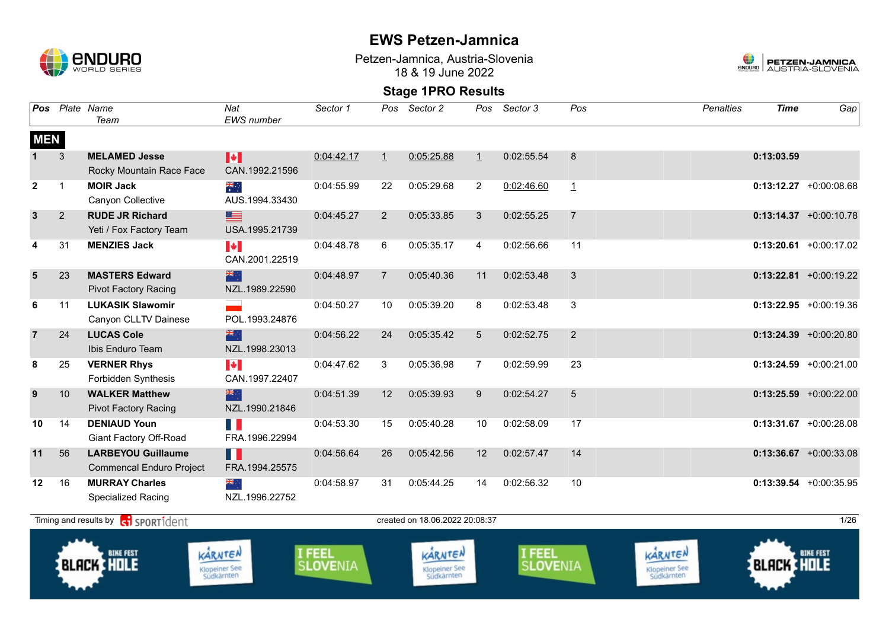

Petzen-Jamnica, Austria-Slovenia 18 & 19 June 2022



| Pos            |              | Plate Name<br>Team                                           | Nat<br>EWS number                                       | Sector 1                       | Pos            | Sector 2                               | Pos               | Sector 3                  | Pos            | <b>Penalties</b>                       | <b>Time</b>       | Gap                       |
|----------------|--------------|--------------------------------------------------------------|---------------------------------------------------------|--------------------------------|----------------|----------------------------------------|-------------------|---------------------------|----------------|----------------------------------------|-------------------|---------------------------|
| <b>MEN</b>     |              |                                                              |                                                         |                                |                |                                        |                   |                           |                |                                        |                   |                           |
|                | 3            | <b>MELAMED Jesse</b><br>Rocky Mountain Race Face             | M<br>CAN.1992.21596                                     | 0:04:42.17                     | $\overline{1}$ | 0:05:25.88                             | $\perp$           | 0:02:55.54                | 8              |                                        | 0:13:03.59        |                           |
| $\overline{2}$ | $\mathbf{1}$ | <b>MOIR Jack</b><br>Canyon Collective                        | ्हें<br>AUS.1994.33430                                  | 0:04:55.99                     | 22             | 0:05:29.68                             | $\overline{2}$    | 0:02:46.60                | $\mathbf{1}$   |                                        |                   | $0:13:12.27$ +0:00:08.68  |
| $\mathbf{3}$   | 2            | <b>RUDE JR Richard</b><br>Yeti / Fox Factory Team            | E I<br>USA.1995.21739                                   | 0:04:45.27                     | $\overline{2}$ | 0:05:33.85                             | 3                 | 0:02:55.25                | $\overline{7}$ |                                        |                   | $0:13:14.37$ +0:00:10.78  |
| 4              | 31           | <b>MENZIES Jack</b>                                          | $\blacktriangleright$<br>CAN.2001.22519                 | 0:04:48.78                     | 6              | 0:05:35.17                             | 4                 | 0:02:56.66                | 11             |                                        |                   | $0:13:20.61$ +0:00:17.02  |
| 5              | 23           | <b>MASTERS Edward</b><br><b>Pivot Factory Racing</b>         | 米亭<br>NZL.1989.22590                                    | 0:04:48.97                     | $\overline{7}$ | 0:05:40.36                             | 11                | 0:02:53.48                | 3              |                                        |                   | $0:13:22.81$ +0:00:19.22  |
| 6              | 11           | <b>LUKASIK Slawomir</b><br>Canyon CLLTV Dainese              | POL.1993.24876                                          | 0:04:50.27                     | 10             | 0:05:39.20                             | 8                 | 0:02:53.48                | 3              |                                        |                   | $0:13:22.95$ +0:00:19.36  |
| $\overline{7}$ | 24           | <b>LUCAS Cole</b><br>Ibis Enduro Team                        | ▓<br>NZL.1998.23013                                     | 0:04:56.22                     | 24             | 0:05:35.42                             | $5\phantom{.0}$   | 0:02:52.75                | $\overline{2}$ |                                        |                   | $0:13:24.39 + 0:00:20.80$ |
| 8              | 25           | <b>VERNER Rhys</b><br>Forbidden Synthesis                    | $\left\  \boldsymbol{\cdot} \right\ $<br>CAN.1997.22407 | 0:04:47.62                     | 3              | 0:05:36.98                             | $\overline{7}$    | 0:02:59.99                | 23             |                                        |                   | $0:13:24.59$ +0:00:21.00  |
| 9              | 10           | <b>WALKER Matthew</b><br><b>Pivot Factory Racing</b>         | ▓ੑ<br>NZL.1990.21846                                    | 0:04:51.39                     | 12             | 0:05:39.93                             | 9                 | 0:02:54.27                | 5              |                                        |                   | $0:13:25.59$ +0:00:22.00  |
| 10             | 14           | <b>DENIAUD Youn</b><br>Giant Factory Off-Road                | H.<br>FRA.1996.22994                                    | 0:04:53.30                     | 15             | 0:05:40.28                             | 10                | 0:02:58.09                | 17             |                                        |                   | $0:13:31.67$ +0:00:28.08  |
| 11             | 56           | <b>LARBEYOU Guillaume</b><br><b>Commencal Enduro Project</b> | ш<br>FRA.1994.25575                                     | 0:04:56.64                     | 26             | 0:05:42.56                             | $12 \overline{ }$ | 0:02:57.47                | 14             |                                        |                   | $0:13:36.67$ +0:00:33.08  |
| 12             | 16           | <b>MURRAY Charles</b><br>Specialized Racing                  | ्रेल<br>NZL.1996.22752                                  | 0:04:58.97                     | 31             | 0:05:44.25                             | 14                | 0:02:56.32                | 10             |                                        |                   | $0:13:39.54$ +0:00:35.95  |
|                |              | Timing and results by $\left[\frac{1}{2}\right]$ SPORT1 dent |                                                         |                                |                | created on 18.06.2022 20:08:37         |                   |                           |                |                                        |                   | 1/26                      |
|                |              | <b>BIKE FEST</b><br><b>BLACK HOLE</b>                        | KARNTEN<br>Klopeiner See<br>Südkärnten                  | <b>FEEL</b><br><b>SLOVENIA</b> |                | KARNTEN<br>Klopeiner See<br>Südkärnten |                   | I FEEL<br><b>SLOVENIA</b> |                | KARNTEN<br>Klopeiner See<br>Südkärnten | <b>BLACK HOLE</b> | <b>BIKE FEST</b>          |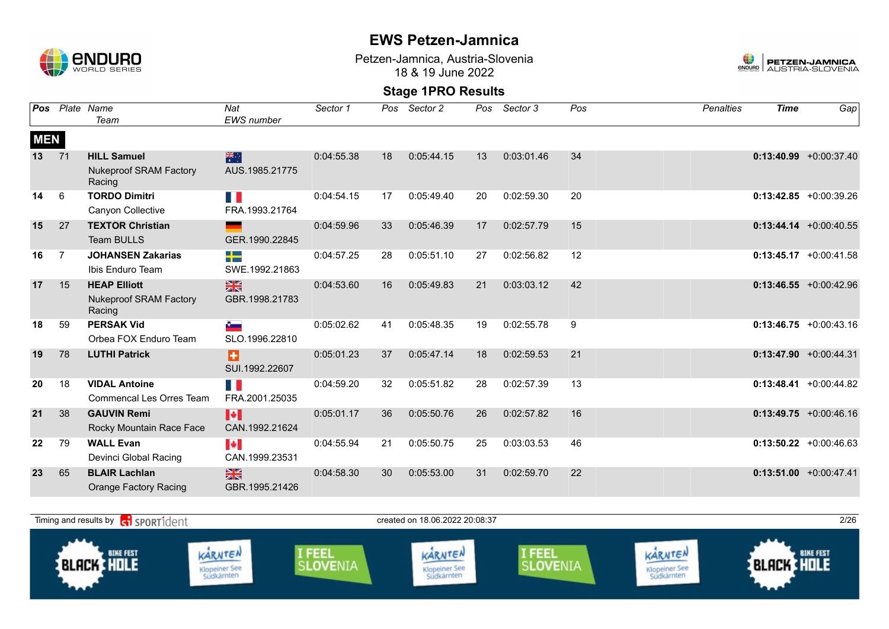

Petzen-Jamnica, Austria-Slovenia 18 & 19 June 2022



| Pos        |                | Plate Name                              | Nat                    | Sector 1   | Pos | Sector 2   | Pos | Sector 3   | Pos | <b>Penalties</b> | <b>Time</b> | Gap                       |
|------------|----------------|-----------------------------------------|------------------------|------------|-----|------------|-----|------------|-----|------------------|-------------|---------------------------|
|            |                | Team                                    | EWS number             |            |     |            |     |            |     |                  |             |                           |
| <b>MEN</b> |                |                                         |                        |            |     |            |     |            |     |                  |             |                           |
| 13         | 71             | <b>HILL Samuel</b>                      | 米啊                     | 0:04:55.38 | 18  | 0:05:44.15 | 13  | 0:03:01.46 | 34  |                  |             | $0:13:40.99$ +0:00:37.40  |
|            |                | <b>Nukeproof SRAM Factory</b><br>Racing | AUS.1985.21775         |            |     |            |     |            |     |                  |             |                           |
| 14         | 6              | <b>TORDO Dimitri</b>                    | Ш                      | 0:04:54.15 | 17  | 0:05:49.40 | 20  | 0:02:59.30 | 20  |                  |             | $0:13:42.85 + 0:00:39.26$ |
|            |                | Canyon Collective                       | FRA.1993.21764         |            |     |            |     |            |     |                  |             |                           |
| 15         | 27             | <b>TEXTOR Christian</b>                 |                        | 0:04:59.96 | 33  | 0:05:46.39 | 17  | 0:02:57.79 | 15  |                  |             | $0:13:44.14 + 0:00:40.55$ |
|            |                | <b>Team BULLS</b>                       | GER.1990.22845         |            |     |            |     |            |     |                  |             |                           |
| 16         | $\overline{7}$ | <b>JOHANSEN Zakarias</b>                | -12                    | 0:04:57.25 | 28  | 0:05:51.10 | 27  | 0:02:56.82 | 12  |                  |             | $0:13:45.17 + 0:00:41.58$ |
|            |                | Ibis Enduro Team                        | SWE.1992.21863         |            |     |            |     |            |     |                  |             |                           |
| 17         | 15             | <b>HEAP Elliott</b>                     | $\frac{N}{N}$          | 0:04:53.60 | 16  | 0:05:49.83 | 21  | 0:03:03.12 | 42  |                  |             | $0:13:46.55 + 0:00:42.96$ |
|            |                | <b>Nukeproof SRAM Factory</b><br>Racing | GBR.1998.21783         |            |     |            |     |            |     |                  |             |                           |
| 18         | 59             | <b>PERSAK Vid</b>                       | $\epsilon$             | 0:05:02.62 | 41  | 0:05:48.35 | 19  | 0:02:55.78 | 9   |                  |             | $0:13:46.75 + 0:00:43.16$ |
|            |                | Orbea FOX Enduro Team                   | SLO.1996.22810         |            |     |            |     |            |     |                  |             |                           |
| 19         | 78             | <b>LUTHI Patrick</b>                    | Ð                      | 0:05:01.23 | 37  | 0:05:47.14 | 18  | 0:02:59.53 | 21  |                  |             | $0:13:47.90 + 0:00:44.31$ |
|            |                |                                         | SUI.1992.22607         |            |     |            |     |            |     |                  |             |                           |
| 20         | 18             | <b>VIDAL Antoine</b>                    | H                      | 0:04:59.20 | 32  | 0:05:51.82 | 28  | 0:02:57.39 | 13  |                  |             | $0:13:48.41 + 0:00:44.82$ |
|            |                | Commencal Les Orres Team                | FRA.2001.25035         |            |     |            |     |            |     |                  |             |                           |
| 21         | 38             | <b>GAUVIN Remi</b>                      | H                      | 0:05:01.17 | 36  | 0:05:50.76 | 26  | 0:02:57.82 | 16  |                  |             | $0:13:49.75 + 0:00:46.16$ |
|            |                | Rocky Mountain Race Face                | CAN.1992.21624         |            |     |            |     |            |     |                  |             |                           |
| 22         | 79             | <b>WALL Evan</b>                        | $\left  \cdot \right $ | 0:04:55.94 | 21  | 0:05:50.75 | 25  | 0:03:03.53 | 46  |                  |             | $0:13:50.22 +0:00:46.63$  |
|            |                | Devinci Global Racing                   | CAN.1999.23531         |            |     |            |     |            |     |                  |             |                           |
| 23         | 65             | <b>BLAIR Lachlan</b>                    | $\frac{2}{3}$          | 0:04:58.30 | 30  | 0:05:53.00 | 31  | 0:02:59.70 | 22  |                  |             | $0:13:51.00 + 0:00:47.41$ |
|            |                | <b>Orange Factory Racing</b>            | GBR.1995.21426         |            |     |            |     |            |     |                  |             |                           |

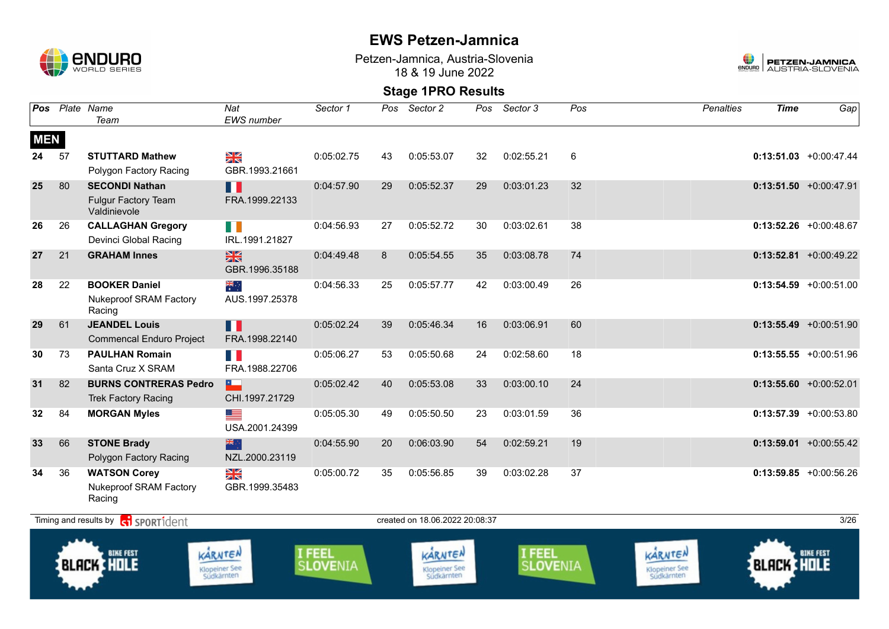

Klopeiner See<br>Südkärnten

### **EWS Petzen-Jamnica**

Petzen-Jamnica, Austria-Slovenia 18 & 19 June 2022



### **Stage 1PRO Results**

| Pos        |    | Plate Name<br>Team                                              | Nat<br><b>EWS</b> number        | Sector 1                         | Pos | Sector 2                        | Pos | Sector 3                  | Pos | <b>Penalties</b>                | <b>Time</b>       | Gap                       |
|------------|----|-----------------------------------------------------------------|---------------------------------|----------------------------------|-----|---------------------------------|-----|---------------------------|-----|---------------------------------|-------------------|---------------------------|
| <b>MEN</b> |    |                                                                 |                                 |                                  |     |                                 |     |                           |     |                                 |                   |                           |
| 24         | 57 | <b>STUTTARD Mathew</b>                                          | NK<br>ZK                        | 0:05:02.75                       | 43  | 0:05:53.07                      | 32  | 0:02:55.21                | 6   |                                 |                   | $0:13:51.03 + 0:00:47.44$ |
|            |    | Polygon Factory Racing                                          | GBR.1993.21661                  |                                  |     |                                 |     |                           |     |                                 |                   |                           |
| 25         | 80 | <b>SECONDI Nathan</b>                                           | H                               | 0:04:57.90                       | 29  | 0:05:52.37                      | 29  | 0:03:01.23                | 32  |                                 |                   | $0:13:51.50$ +0:00:47.91  |
|            |    | <b>Fulgur Factory Team</b><br>Valdinievole                      | FRA.1999.22133                  |                                  |     |                                 |     |                           |     |                                 |                   |                           |
| 26         | 26 | <b>CALLAGHAN Gregory</b>                                        | HD N                            | 0:04:56.93                       | 27  | 0:05:52.72                      | 30  | 0:03:02.61                | 38  |                                 |                   | $0:13:52.26$ +0:00:48.67  |
|            |    | Devinci Global Racing                                           | IRL.1991.21827                  |                                  |     |                                 |     |                           |     |                                 |                   |                           |
| 27         | 21 | <b>GRAHAM Innes</b>                                             | $\frac{N}{N}$<br>GBR.1996.35188 | 0:04:49.48                       | 8   | 0:05:54.55                      | 35  | 0:03:08.78                | 74  |                                 |                   | $0:13:52.81$ +0:00:49.22  |
| 28         | 22 | <b>BOOKER Daniel</b><br><b>Nukeproof SRAM Factory</b><br>Racing | ▓<br>AUS.1997.25378             | 0:04:56.33                       | 25  | 0:05:57.77                      | 42  | 0:03:00.49                | 26  |                                 |                   | $0:13:54.59$ +0:00:51.00  |
| 29         | 61 | <b>JEANDEL Louis</b>                                            | П                               | 0:05:02.24                       | 39  | 0:05:46.34                      | 16  | 0:03:06.91                | 60  |                                 |                   | $0:13:55.49$ +0:00:51.90  |
|            |    | <b>Commencal Enduro Project</b>                                 | FRA.1998.22140                  |                                  |     |                                 |     |                           |     |                                 |                   |                           |
| 30         | 73 | <b>PAULHAN Romain</b><br>Santa Cruz X SRAM                      | F.<br>FRA.1988.22706            | 0:05:06.27                       | 53  | 0:05:50.68                      | 24  | 0:02:58.60                | 18  |                                 |                   | $0:13:55.55 + 0:00:51.96$ |
| 31         | 82 | <b>BURNS CONTRERAS Pedro</b>                                    | $\overline{\phantom{a}}$        | 0:05:02.42                       | 40  | 0:05:53.08                      | 33  | 0:03:00.10                | 24  |                                 |                   | $0:13:55.60 + 0:00:52.01$ |
|            |    | <b>Trek Factory Racing</b>                                      | CHI.1997.21729                  |                                  |     |                                 |     |                           |     |                                 |                   |                           |
| 32         | 84 | <b>MORGAN Myles</b>                                             | Œ.<br>USA.2001.24399            | 0:05:05.30                       | 49  | 0:05:50.50                      | 23  | 0:03:01.59                | 36  |                                 |                   | $0:13:57.39$ +0:00:53.80  |
| 33         | 66 | <b>STONE Brady</b>                                              | 米亭                              | 0:04:55.90                       | 20  | 0:06:03.90                      | 54  | 0:02:59.21                | 19  |                                 |                   | $0:13:59.01 + 0:00:55.42$ |
|            |    | Polygon Factory Racing                                          | NZL.2000.23119                  |                                  |     |                                 |     |                           |     |                                 |                   |                           |
| 34         | 36 | <b>WATSON Corey</b>                                             | ¥≼                              | 0:05:00.72                       | 35  | 0:05:56.85                      | 39  | 0:03:02.28                | 37  |                                 |                   | $0:13:59.85 + 0:00:56.26$ |
|            |    | <b>Nukeproof SRAM Factory</b><br>Racing                         | GBR.1999.35483                  |                                  |     |                                 |     |                           |     |                                 |                   |                           |
|            |    | Timing and results by <b>container to the SPORT1</b> dent       |                                 |                                  |     | created on 18.06.2022 20:08:37  |     |                           |     |                                 |                   | 3/26                      |
|            |    | <b>BIKE FEST</b><br><b>BLACK HOLE</b>                           | KARNTEN<br><b>Klopeiner See</b> | <b>I FEEL</b><br><b>SLOVENIA</b> |     | KARNTEN<br><b>Klopeiner See</b> |     | I FEEL<br><b>SLOVENIA</b> |     | KARNTEN<br><b>Klopeiner See</b> | <b>BLACK HOLE</b> | <b>BIKE FEST</b>          |

Klopeiner See<br>Südkärnten

Klopeiner See<br>Südkärnten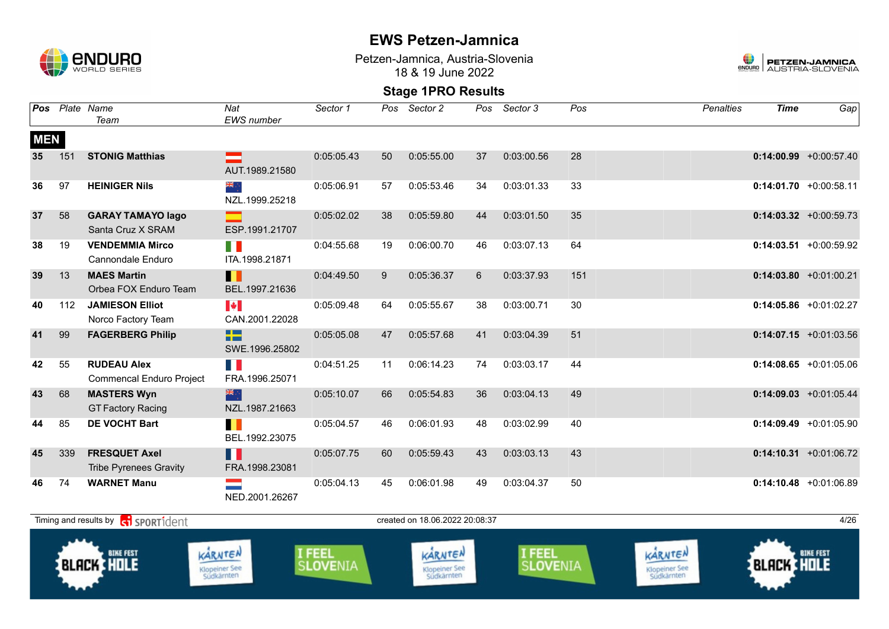

Petzen-Jamnica, Austria-Slovenia 18 & 19 June 2022



| Pos             |     | Plate Name<br>Team                                    | Nat<br>EWS number                       | Sector 1                  | Pos | Sector 2                               | Pos | Sector 3                  | Pos | <b>Penalties</b>                       | <b>Time</b>       | Gap                       |
|-----------------|-----|-------------------------------------------------------|-----------------------------------------|---------------------------|-----|----------------------------------------|-----|---------------------------|-----|----------------------------------------|-------------------|---------------------------|
| <b>MEN</b>      |     |                                                       |                                         |                           |     |                                        |     |                           |     |                                        |                   |                           |
| 35 <sub>5</sub> | 151 | <b>STONIG Matthias</b>                                | ÷.<br>AUT.1989.21580                    | 0:05:05.43                | 50  | 0:05:55.00                             | 37  | 0:03:00.56                | 28  |                                        |                   | $0:14:00.99$ +0:00:57.40  |
| 36              | 97  | <b>HEINIGER Nils</b>                                  | ÷, ak<br>NZL.1999.25218                 | 0:05:06.91                | 57  | 0:05:53.46                             | 34  | 0:03:01.33                | 33  |                                        |                   | $0:14:01.70$ +0:00:58.11  |
| 37              | 58  | <b>GARAY TAMAYO lago</b><br>Santa Cruz X SRAM         | ESP.1991.21707                          | 0:05:02.02                | 38  | 0:05:59.80                             | 44  | 0:03:01.50                | 35  |                                        |                   | $0:14:03.32$ +0:00:59.73  |
| 38              | 19  | <b>VENDEMMIA Mirco</b><br>Cannondale Enduro           | H.<br>ITA.1998.21871                    | 0:04:55.68                | 19  | 0:06:00.70                             | 46  | 0:03:07.13                | 64  |                                        |                   | $0:14:03.51$ +0:00:59.92  |
| 39              | 13  | <b>MAES Martin</b><br>Orbea FOX Enduro Team           | П<br>BEL.1997.21636                     | 0:04:49.50                | 9   | 0:05:36.37                             | 6   | 0:03:37.93                | 151 |                                        |                   | $0:14:03.80 +0:01:00.21$  |
| 40              | 112 | <b>JAMIESON Elliot</b><br>Norco Factory Team          | $\blacktriangleright$<br>CAN.2001.22028 | 0:05:09.48                | 64  | 0:05:55.67                             | 38  | 0:03:00.71                | 30  |                                        |                   | $0:14:05.86$ +0:01:02.27  |
| 41              | 99  | <b>FAGERBERG Philip</b>                               | ÷<br>SWE.1996.25802                     | 0:05:05.08                | 47  | 0:05:57.68                             | 41  | 0:03:04.39                | 51  |                                        |                   | $0:14:07.15 + 0:01:03.56$ |
| 42              | 55  | <b>RUDEAU Alex</b><br><b>Commencal Enduro Project</b> | H I<br>FRA.1996.25071                   | 0:04:51.25                | 11  | 0:06:14.23                             | 74  | 0:03:03.17                | 44  |                                        |                   | $0:14:08.65$ +0:01:05.06  |
| 43              | 68  | <b>MASTERS Wyn</b><br><b>GT Factory Racing</b>        | 米<br>NZL.1987.21663                     | 0:05:10.07                | 66  | 0:05:54.83                             | 36  | 0:03:04.13                | 49  |                                        |                   | $0:14:09.03$ +0:01:05.44  |
| 44              | 85  | <b>DE VOCHT Bart</b>                                  | п<br>BEL.1992.23075                     | 0:05:04.57                | 46  | 0:06:01.93                             | 48  | 0:03:02.99                | 40  |                                        |                   | $0:14:09.49$ +0:01:05.90  |
| 45              | 339 | <b>FRESQUET Axel</b><br><b>Tribe Pyrenees Gravity</b> | Ш<br>FRA.1998.23081                     | 0:05:07.75                | 60  | 0:05:59.43                             | 43  | 0:03:03.13                | 43  |                                        |                   | $0:14:10.31$ +0:01:06.72  |
| 46              | 74  | <b>WARNET Manu</b>                                    | $\equiv$<br>NED.2001.26267              | 0:05:04.13                | 45  | 0:06:01.98                             | 49  | 0:03:04.37                | 50  |                                        |                   | $0:14:10.48$ +0:01:06.89  |
|                 |     | Timing and results by contract of the SPORT1dent      |                                         |                           |     | created on 18.06.2022 20:08:37         |     |                           |     |                                        |                   | 4/26                      |
|                 |     | <b>BIKE FEST</b><br><b>BLACK HOLE</b>                 | KARNTEN<br>Klopeiner See<br>Südkärnten  | I FEEL<br><b>SLOVENIA</b> |     | KARNTEN<br>Klopeiner See<br>Südkärnten |     | I FEEL<br><b>SLOVENIA</b> |     | KARNTEN<br>Klopeiner See<br>Südkärnten | <b>BLACK HOLE</b> | <b>BIKE FEST</b>          |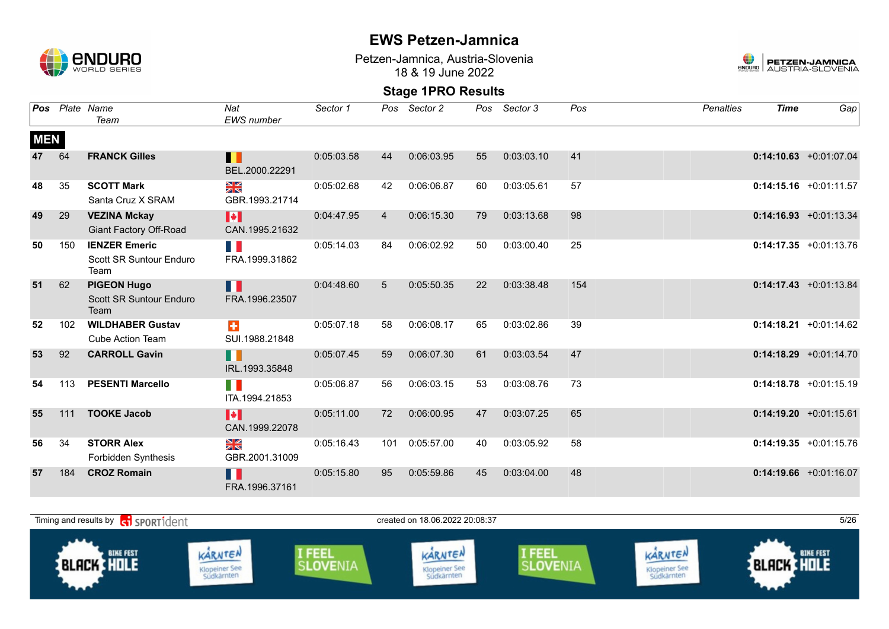

Petzen-Jamnica, Austria-Slovenia 18 & 19 June 2022



| Pos        |     | Plate Name<br>Team                                           | Nat<br><b>EWS</b> number     | Sector 1   | Pos | Sector 2   | Pos | Sector 3   | Pos | <b>Penalties</b> | <b>Time</b> | Gap                       |
|------------|-----|--------------------------------------------------------------|------------------------------|------------|-----|------------|-----|------------|-----|------------------|-------------|---------------------------|
| <b>MEN</b> |     |                                                              |                              |            |     |            |     |            |     |                  |             |                           |
| 47         | 64  | <b>FRANCK Gilles</b>                                         | П<br>BEL.2000.22291          | 0:05:03.58 | 44  | 0:06:03.95 | 55  | 0:03:03.10 | 41  |                  |             | $0:14:10.63$ +0:01:07.04  |
| 48         | 35  | <b>SCOTT Mark</b><br>Santa Cruz X SRAM                       | ≫<br>X<br>GBR.1993.21714     | 0:05:02.68 | 42  | 0:06:06.87 | 60  | 0:03:05.61 | 57  |                  |             | $0:14:15.16$ +0:01:11.57  |
| 49         | 29  | <b>VEZINA Mckay</b><br><b>Giant Factory Off-Road</b>         | H<br>CAN.1995.21632          | 0:04:47.95 | 4   | 0:06:15.30 | 79  | 0:03:13.68 | 98  |                  |             | $0:14:16.93 + 0:01:13.34$ |
| 50         | 150 | <b>IENZER Emeric</b><br>Scott SR Suntour Enduro<br>Team      | T.<br>FRA.1999.31862         | 0:05:14.03 | 84  | 0:06:02.92 | 50  | 0:03:00.40 | 25  |                  |             | $0:14:17.35 +0:01:13.76$  |
| 51         | 62  | <b>PIGEON Hugo</b><br><b>Scott SR Suntour Enduro</b><br>Team | H<br>FRA.1996.23507          | 0:04:48.60 | 5   | 0:05:50.35 | 22  | 0:03:38.48 | 154 |                  |             | $0:14:17.43 + 0:01:13.84$ |
| 52         | 102 | <b>WILDHABER Gustav</b><br><b>Cube Action Team</b>           | $\ddagger$<br>SUI.1988.21848 | 0:05:07.18 | 58  | 0:06:08.17 | 65  | 0:03:02.86 | 39  |                  |             | $0:14:18.21 + 0:01:14.62$ |
| 53         | 92  | <b>CARROLL Gavin</b>                                         | n<br>IRL.1993.35848          | 0:05:07.45 | 59  | 0:06:07.30 | 61  | 0:03:03.54 | 47  |                  |             | $0:14:18.29$ +0:01:14.70  |
| 54         | 113 | <b>PESENTI Marcello</b>                                      | T N<br>ITA.1994.21853        | 0:05:06.87 | 56  | 0:06:03.15 | 53  | 0:03:08.76 | 73  |                  |             | $0:14:18.78 + 0:01:15.19$ |
| 55         | 111 | <b>TOOKE Jacob</b>                                           | H<br>CAN.1999.22078          | 0:05:11.00 | 72  | 0:06:00.95 | 47  | 0:03:07.25 | 65  |                  |             | $0:14:19.20 +0:01:15.61$  |
| 56         | 34  | <b>STORR Alex</b><br>Forbidden Synthesis                     | ≥k<br>GBR.2001.31009         | 0:05:16.43 | 101 | 0:05:57.00 | 40  | 0:03:05.92 | 58  |                  |             | $0:14:19.35 +0:01:15.76$  |
| 57         | 184 | <b>CROZ Romain</b>                                           | H.<br>FRA.1996.37161         | 0:05:15.80 | 95  | 0:05:59.86 | 45  | 0:03:04.00 | 48  |                  |             | $0:14:19.66$ +0:01:16.07  |

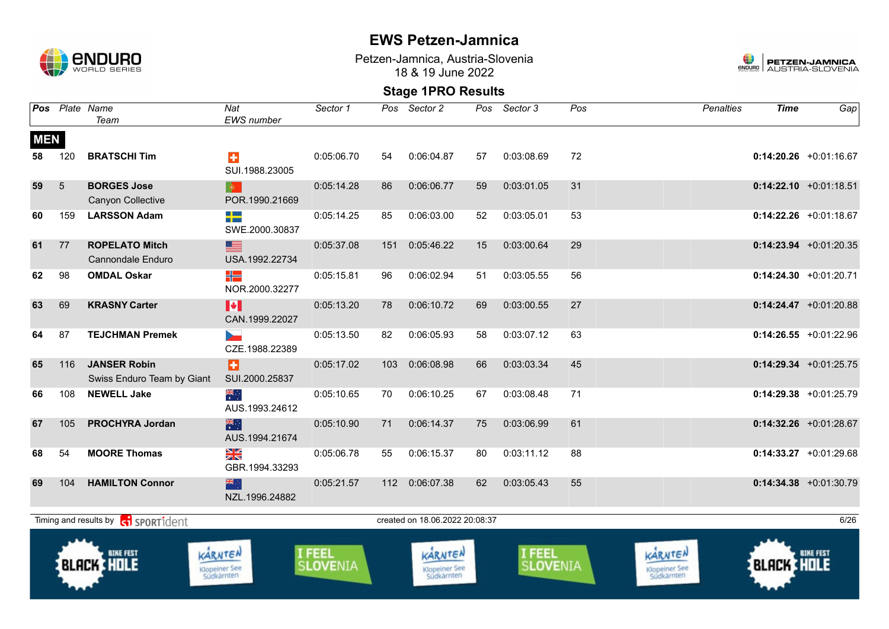

Petzen-Jamnica, Austria-Slovenia 18 & 19 June 2022



|                  |            | Pos Plate Name<br>Team                            | Nat<br>EWS number                          | Sector 1                  | Pos | Sector 2                               | Pos | Sector 3           | Pos | <b>Penalties</b>                       | <b>Time</b>       | $Ga$ p                   |
|------------------|------------|---------------------------------------------------|--------------------------------------------|---------------------------|-----|----------------------------------------|-----|--------------------|-----|----------------------------------------|-------------------|--------------------------|
| <b>MEN</b><br>58 | 120        | <b>BRATSCHI Tim</b>                               | $\div$<br>SUI.1988.23005                   | 0:05:06.70                | 54  | 0:06:04.87                             | 57  | 0:03:08.69         | 72  |                                        |                   | $0:14:20.26$ +0:01:16.67 |
| 59               | $\sqrt{5}$ | <b>BORGES Jose</b><br>Canyon Collective           | $ \Phi^{\pm} $<br>POR.1990.21669           | 0:05:14.28                | 86  | 0:06:06.77                             | 59  | 0:03:01.05         | 31  |                                        |                   | $0:14:22.10$ +0:01:18.51 |
| 60               | 159        | <b>LARSSON Adam</b>                               | ╉═<br>SWE.2000.30837                       | 0:05:14.25                | 85  | 0:06:03.00                             | 52  | 0:03:05.01         | 53  |                                        |                   | $0:14:22.26$ +0:01:18.67 |
| 61               | 77         | <b>ROPELATO Mitch</b><br>Cannondale Enduro        | $\equiv$<br>USA.1992.22734                 | 0:05:37.08                | 151 | 0:05:46.22                             | 15  | 0:03:00.64         | 29  |                                        |                   | $0:14:23.94$ +0:01:20.35 |
| 62               | 98         | <b>OMDAL Oskar</b>                                | ╬<br>NOR.2000.32277                        | 0:05:15.81                | 96  | 0:06:02.94                             | 51  | 0:03:05.55         | 56  |                                        |                   | $0:14:24.30 +0:01:20.71$ |
| 63               | 69         | <b>KRASNY Carter</b>                              | H<br>CAN.1999.22027                        | 0:05:13.20                | 78  | 0:06:10.72                             | 69  | 0:03:00.55         | 27  |                                        |                   | $0:14:24.47$ +0:01:20.88 |
| 64               | 87         | <b>TEJCHMAN Premek</b>                            | $\overline{\phantom{a}}$<br>CZE.1988.22389 | 0:05:13.50                | 82  | 0:06:05.93                             | 58  | 0:03:07.12         | 63  |                                        |                   | $0:14:26.55$ +0:01:22.96 |
| 65               | 116        | <b>JANSER Robin</b><br>Swiss Enduro Team by Giant | Ы<br>SUI.2000.25837                        | 0:05:17.02                | 103 | 0:06:08.98                             | 66  | 0:03:03.34         | 45  |                                        |                   | $0:14:29.34$ +0:01:25.75 |
| 66               | 108        | <b>NEWELL Jake</b>                                | $\frac{1}{\sqrt{K}}$<br>AUS.1993.24612     | 0:05:10.65                | 70  | 0:06:10.25                             | 67  | 0:03:08.48         | 71  |                                        |                   | $0:14:29.38$ +0:01:25.79 |
| 67               | 105        | <b>PROCHYRA Jordan</b>                            | 業業<br>AUS.1994.21674                       | 0:05:10.90                | 71  | 0:06:14.37                             | 75  | 0:03:06.99         | 61  |                                        |                   | $0:14:32.26$ +0:01:28.67 |
| 68               | 54         | <b>MOORE Thomas</b>                               | X<br>GBR.1994.33293                        | 0:05:06.78                | 55  | 0:06:15.37                             | 80  | 0:03:11.12         | 88  |                                        |                   | $0:14:33.27$ +0:01:29.68 |
| 69               | 104        | <b>HAMILTON Connor</b>                            | 水水<br>NZL.1996.24882                       | 0:05:21.57                | 112 | 0:06:07.38                             | 62  | 0:03:05.43         | 55  |                                        |                   | $0:14:34.38$ +0:01:30.79 |
|                  |            | Timing and results by ci SPORT1dent               |                                            |                           |     | created on 18.06.2022 20:08:37         |     |                    |     |                                        |                   | 6/26                     |
|                  |            | <b>BIKE FEST</b><br><b>BLACK HOLE</b>             | KARNTEN<br>Klopeiner See<br>Südkärnten     | <b>I FEEL</b><br>SLOVENIA |     | KARNTEN<br>Klopeiner See<br>Südkärnten |     | I FEEL<br>SLOVENIA |     | KARNTEN<br>Klopeiner See<br>Südkärnten | <b>BLACK HOLE</b> | <b>BIKE FEST</b>         |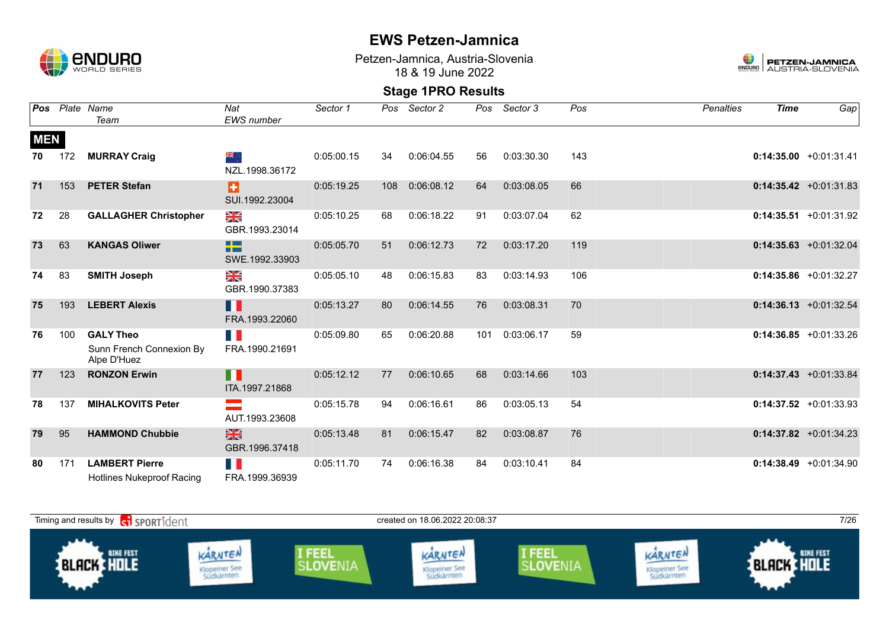

Petzen-Jamnica, Austria-Slovenia 18 & 19 June 2022



|            |     | <b>Pos</b> Plate Name<br>Team                               | Nat<br><b>EWS</b> number        | Sector 1   |     | Pos Sector 2 |     | Pos Sector 3 | Pos | <b>Penalties</b> | <b>Time</b> | Gap                       |
|------------|-----|-------------------------------------------------------------|---------------------------------|------------|-----|--------------|-----|--------------|-----|------------------|-------------|---------------------------|
| <b>MEN</b> |     |                                                             |                                 |            |     |              |     |              |     |                  |             |                           |
| 70         | 172 | <b>MURRAY Craig</b>                                         | ्र क्रँ≼<br>NZL.1998.36172      | 0:05:00.15 | 34  | 0:06:04.55   | 56  | 0:03:30.30   | 143 |                  |             | $0:14:35.00 +0:01:31.41$  |
| 71         | 153 | <b>PETER Stefan</b>                                         | Ð<br>SUI.1992.23004             | 0:05:19.25 | 108 | 0:06:08.12   | 64  | 0:03:08.05   | 66  |                  |             | $0:14:35.42 +0:01:31.83$  |
| 72         | 28  | <b>GALLAGHER Christopher</b>                                | N<br>X<br>GBR.1993.23014        | 0:05:10.25 | 68  | 0:06:18.22   | 91  | 0:03:07.04   | 62  |                  |             | $0:14:35.51 + 0:01:31.92$ |
| 73         | 63  | <b>KANGAS Oliwer</b>                                        | -13<br>SWE.1992.33903           | 0:05:05.70 | 51  | 0:06:12.73   | 72  | 0:03:17.20   | 119 |                  |             | $0:14:35.63 + 0:01:32.04$ |
| 74         | 83  | <b>SMITH Joseph</b>                                         | N<br>X<br>GBR.1990.37383        | 0:05:05.10 | 48  | 0:06:15.83   | 83  | 0:03:14.93   | 106 |                  |             | $0:14:35.86$ +0:01:32.27  |
| 75         | 193 | <b>LEBERT Alexis</b>                                        | H H<br>FRA.1993.22060           | 0:05:13.27 | 80  | 0:06:14.55   | 76  | 0:03:08.31   | 70  |                  |             | $0:14:36.13 + 0:01:32.54$ |
| 76         | 100 | <b>GALY Theo</b><br>Sunn French Connexion By<br>Alpe D'Huez | FRA.1990.21691                  | 0:05:09.80 | 65  | 0:06:20.88   | 101 | 0:03:06.17   | 59  |                  |             | $0:14:36.85 +0:01:33.26$  |
| 77         | 123 | <b>RONZON Erwin</b>                                         | H<br>ITA.1997.21868             | 0:05:12.12 | 77  | 0:06:10.65   | 68  | 0:03:14.66   | 103 |                  |             | $0:14:37.43 + 0:01:33.84$ |
| 78         | 137 | <b>MIHALKOVITS Peter</b>                                    | AUT.1993.23608                  | 0:05:15.78 | 94  | 0:06:16.61   | 86  | 0:03:05.13   | 54  |                  |             | $0:14:37.52 +0:01:33.93$  |
| 79         | 95  | <b>HAMMOND Chubbie</b>                                      | $\frac{N}{N}$<br>GBR.1996.37418 | 0:05:13.48 | 81  | 0:06:15.47   | 82  | 0:03:08.87   | 76  |                  |             | $0:14:37.82 +0:01:34.23$  |
| 80         | 171 | <b>LAMBERT Pierre</b><br><b>Hotlines Nukeproof Racing</b>   | H<br>FRA.1999.36939             | 0:05:11.70 | 74  | 0:06:16.38   | 84  | 0:03:10.41   | 84  |                  |             | $0:14:38.49 +0:01:34.90$  |

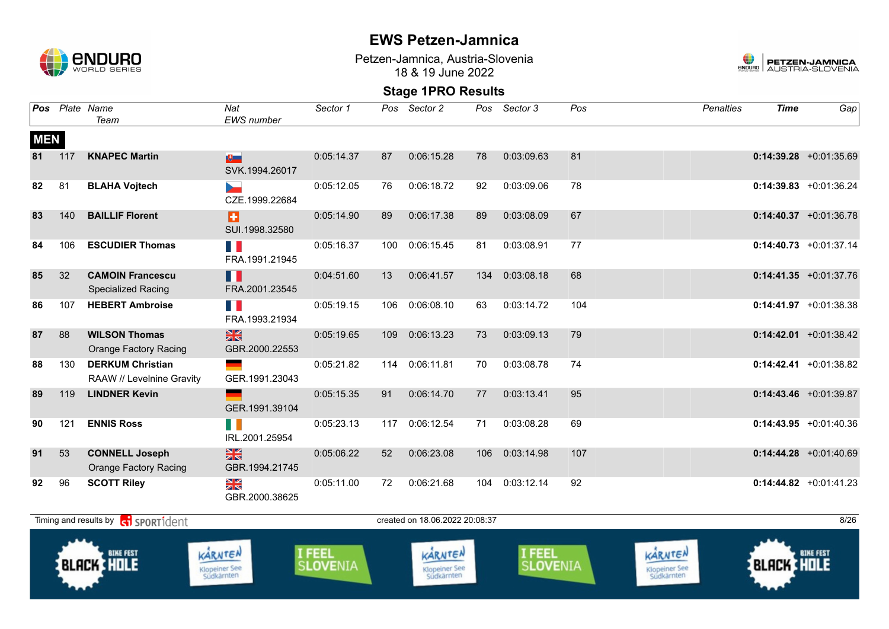

Petzen-Jamnica, Austria-Slovenia 18 & 19 June 2022



| Pos        |                                                                                                                                                                                                                                                                                                                                                                          | Plate Name<br>Team                                    | Nat<br>EWS number                | Sector 1   | Pos | Sector 2       | Pos | Sector 3   | Pos | <b>Penalties</b> | <b>Time</b> | Gap                       |  |
|------------|--------------------------------------------------------------------------------------------------------------------------------------------------------------------------------------------------------------------------------------------------------------------------------------------------------------------------------------------------------------------------|-------------------------------------------------------|----------------------------------|------------|-----|----------------|-----|------------|-----|------------------|-------------|---------------------------|--|
| <b>MEN</b> |                                                                                                                                                                                                                                                                                                                                                                          |                                                       |                                  |            |     |                |     |            |     |                  |             |                           |  |
| 81         | 117                                                                                                                                                                                                                                                                                                                                                                      | <b>KNAPEC Martin</b>                                  | 吧<br>SVK.1994.26017              | 0:05:14.37 | 87  | 0:06:15.28     | 78  | 0:03:09.63 | 81  |                  |             | $0:14:39.28$ +0:01:35.69  |  |
| 82         | 81                                                                                                                                                                                                                                                                                                                                                                       | <b>BLAHA Vojtech</b>                                  | <b>Service</b><br>CZE.1999.22684 | 0:05:12.05 | 76  | 0:06:18.72     | 92  | 0:03:09.06 | 78  |                  |             | $0:14:39.83$ +0:01:36.24  |  |
| 83         | 140                                                                                                                                                                                                                                                                                                                                                                      | <b>BAILLIF Florent</b>                                | ы<br>SUI.1998.32580              | 0:05:14.90 | 89  | 0:06:17.38     | 89  | 0:03:08.09 | 67  |                  |             | $0:14:40.37$ +0:01:36.78  |  |
| 84         | 106                                                                                                                                                                                                                                                                                                                                                                      | <b>ESCUDIER Thomas</b>                                | H.<br>FRA.1991.21945             | 0:05:16.37 | 100 | 0:06:15.45     | 81  | 0:03:08.91 | 77  |                  |             | $0:14:40.73$ +0:01:37.14  |  |
| 85         | 32                                                                                                                                                                                                                                                                                                                                                                       | <b>CAMOIN Francescu</b><br><b>Specialized Racing</b>  | H<br>FRA.2001.23545              | 0:04:51.60 | 13  | 0:06:41.57     | 134 | 0:03:08.18 | 68  |                  |             | $0:14:41.35 +0:01:37.76$  |  |
| 86         | 107                                                                                                                                                                                                                                                                                                                                                                      | <b>HEBERT Ambroise</b>                                | H N<br>FRA.1993.21934            | 0:05:19.15 | 106 | 0:06:08.10     | 63  | 0:03:14.72 | 104 |                  |             | $0:14:41.97$ +0:01:38.38  |  |
| 87         | 88                                                                                                                                                                                                                                                                                                                                                                       | <b>WILSON Thomas</b><br><b>Orange Factory Racing</b>  | $\frac{N}{N}$<br>GBR.2000.22553  | 0:05:19.65 | 109 | 0:06:13.23     | 73  | 0:03:09.13 | 79  |                  |             | $0:14:42.01$ +0:01:38.42  |  |
| 88         | 130                                                                                                                                                                                                                                                                                                                                                                      | <b>DERKUM Christian</b><br>RAAW // Levelnine Gravity  | GER.1991.23043                   | 0:05:21.82 |     | 114 0:06:11.81 | 70  | 0:03:08.78 | 74  |                  |             | $0:14:42.41 + 0:01:38.82$ |  |
| 89         | 119                                                                                                                                                                                                                                                                                                                                                                      | <b>LINDNER Kevin</b>                                  | GER.1991.39104                   | 0:05:15.35 | 91  | 0:06:14.70     | 77  | 0:03:13.41 | 95  |                  |             | $0:14:43.46$ +0:01:39.87  |  |
| 90         | 121                                                                                                                                                                                                                                                                                                                                                                      | <b>ENNIS Ross</b>                                     | F II<br>IRL.2001.25954           | 0:05:23.13 | 117 | 0:06:12.54     | 71  | 0:03:08.28 | 69  |                  |             | $0:14:43.95 +0:01:40.36$  |  |
| 91         | 53                                                                                                                                                                                                                                                                                                                                                                       | <b>CONNELL Joseph</b><br><b>Orange Factory Racing</b> | $\frac{N}{N}$<br>GBR.1994.21745  | 0:05:06.22 | 52  | 0:06:23.08     | 106 | 0:03:14.98 | 107 |                  |             | $0:14:44.28$ +0:01:40.69  |  |
| 92         | 96                                                                                                                                                                                                                                                                                                                                                                       | <b>SCOTT Riley</b>                                    | XK<br>GBR.2000.38625             | 0:05:11.00 | 72  | 0:06:21.68     | 104 | 0:03:12.14 | 92  |                  |             | $0:14:44.82$ +0:01:41.23  |  |
|            |                                                                                                                                                                                                                                                                                                                                                                          |                                                       |                                  |            |     |                |     |            |     |                  |             | 8/26                      |  |
|            | Timing and results by <b>c</b> o <b>SPORT1</b> dent<br>created on 18.06.2022 20:08:37<br><b>I FEEL</b><br>KARNTEN<br>I FEEL<br>KARNTEN<br><b>BIKE FEST</b><br><b>BIKE FEST</b><br>KARNTEN<br><b>BLACK HOLE</b><br><b>BLACK HOLE</b><br>S <b>LOVE</b> NIA<br><b>SLOVENIA</b><br>Klopeiner See<br>Südkärnten<br>Klopeiner See<br>Südkärnten<br>Klopeiner See<br>Südkärnten |                                                       |                                  |            |     |                |     |            |     |                  |             |                           |  |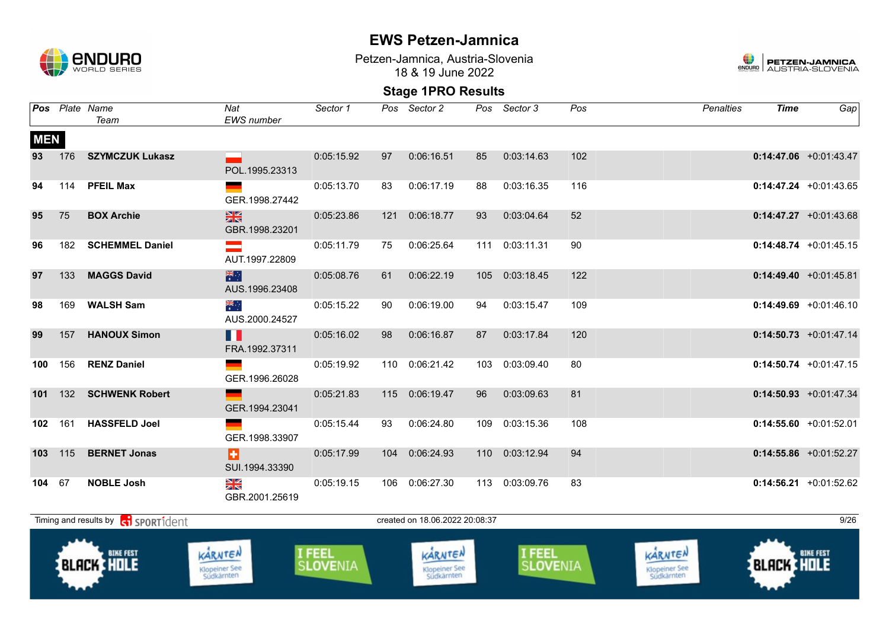

Petzen-Jamnica, Austria-Slovenia 18 & 19 June 2022



|            |     | Pos Plate Name<br>Team                              | Nat<br>EWS number                      | Sector 1                  |     | Pos Sector 2                           |     | Pos Sector 3              | Pos | <b>Penalties</b>                       | <b>Time</b>       | Gap                      |
|------------|-----|-----------------------------------------------------|----------------------------------------|---------------------------|-----|----------------------------------------|-----|---------------------------|-----|----------------------------------------|-------------------|--------------------------|
| <b>MEN</b> |     |                                                     |                                        |                           |     |                                        |     |                           |     |                                        |                   |                          |
| 93         | 176 | <b>SZYMCZUK Lukasz</b>                              | POL.1995.23313                         | 0:05:15.92                | 97  | 0:06:16.51                             | 85  | 0:03:14.63                | 102 |                                        |                   | $0:14:47.06$ +0:01:43.47 |
| 94         | 114 | <b>PFEIL Max</b>                                    | GER.1998.27442                         | 0:05:13.70                | 83  | 0:06:17.19                             | 88  | 0:03:16.35                | 116 |                                        |                   | $0:14:47.24$ +0:01:43.65 |
| 95         | 75  | <b>BOX Archie</b>                                   | $\frac{N}{N}$<br>GBR.1998.23201        | 0:05:23.86                |     | 121 0:06:18.77                         | 93  | 0:03:04.64                | 52  |                                        |                   | $0:14:47.27$ +0:01:43.68 |
| 96         | 182 | <b>SCHEMMEL Daniel</b>                              | $\equiv$<br>AUT.1997.22809             | 0:05:11.79                | 75  | 0:06:25.64                             | 111 | 0:03:11.31                | 90  |                                        |                   | $0:14:48.74$ +0:01:45.15 |
| 97         | 133 | <b>MAGGS David</b>                                  | 米啊<br>AUS.1996.23408                   | 0:05:08.76                | 61  | 0:06:22.19                             | 105 | 0:03:18.45                | 122 |                                        |                   | $0:14:49.40 +0:01:45.81$ |
| 98         | 169 | <b>WALSH Sam</b>                                    | ्हें<br>AUS.2000.24527                 | 0:05:15.22                | 90  | 0:06:19.00                             | 94  | 0:03:15.47                | 109 |                                        |                   | $0:14:49.69$ +0:01:46.10 |
| 99         | 157 | <b>HANOUX Simon</b>                                 | H<br>FRA.1992.37311                    | 0:05:16.02                | 98  | 0:06:16.87                             | 87  | 0:03:17.84                | 120 |                                        |                   | $0:14:50.73 +0:01:47.14$ |
| 100        | 156 | <b>RENZ Daniel</b>                                  | GER.1996.26028                         | 0:05:19.92                | 110 | 0:06:21.42                             | 103 | 0:03:09.40                | 80  |                                        |                   | $0:14:50.74$ +0:01:47.15 |
| 101        |     | 132 SCHWENK Robert                                  | GER.1994.23041                         | 0:05:21.83                |     | 115 0:06:19.47                         | 96  | 0:03:09.63                | 81  |                                        |                   | $0:14:50.93$ +0:01:47.34 |
| 102 161    |     | <b>HASSFELD Joel</b>                                | GER.1998.33907                         | 0:05:15.44                | 93  | 0:06:24.80                             | 109 | 0:03:15.36                | 108 |                                        |                   | $0:14:55.60 +0:01:52.01$ |
| 103 115    |     | <b>BERNET Jonas</b>                                 | Ы<br>SUI.1994.33390                    | 0:05:17.99                |     | 104 0:06:24.93                         |     | 110 0:03:12.94            | 94  |                                        |                   | $0:14:55.86$ +0:01:52.27 |
| 104 67     |     | <b>NOBLE Josh</b>                                   | XK<br>GBR.2001.25619                   | 0:05:19.15                |     | 106 0:06:27.30                         |     | 113 0:03:09.76            | 83  |                                        |                   | $0:14:56.21$ +0:01:52.62 |
|            |     | Timing and results by <b>c</b> o <b>SPORT1</b> dent |                                        |                           |     | created on 18.06.2022 20:08:37         |     |                           |     |                                        |                   | 9/26                     |
|            |     | <b>BIKE FEST</b><br><b>BLACK HOLE</b>               | KARNTEN<br>Klopeiner See<br>Südkärnten | I FEEL<br><b>SLOVENIA</b> |     | KARNTEN<br>Klopeiner See<br>Südkärnten |     | I FEEL<br><b>SLOVENIA</b> |     | KARNTEN<br>Klopeiner See<br>Südkärnten | <b>BLACK HOLE</b> | <b>BIKE FEST</b>         |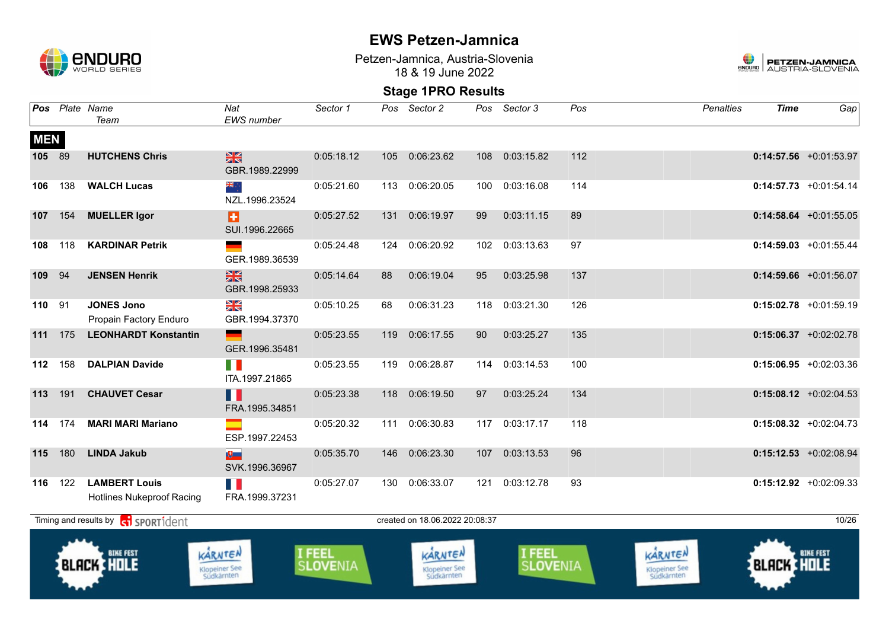

Petzen-Jamnica, Austria-Slovenia 18 & 19 June 2022



| <b>Pos</b> |                                                                                                                                                                                                                                                                                                                                                       | Plate Name<br>Team                                       | Nat<br><b>EWS</b> number        | Sector 1   | Pos | Sector 2   | Pos | Sector 3   | Pos | <b>Penalties</b> | <b>Time</b> | Gap                      |  |
|------------|-------------------------------------------------------------------------------------------------------------------------------------------------------------------------------------------------------------------------------------------------------------------------------------------------------------------------------------------------------|----------------------------------------------------------|---------------------------------|------------|-----|------------|-----|------------|-----|------------------|-------------|--------------------------|--|
| <b>MEN</b> |                                                                                                                                                                                                                                                                                                                                                       |                                                          |                                 |            |     |            |     |            |     |                  |             |                          |  |
| 105        | 89                                                                                                                                                                                                                                                                                                                                                    | <b>HUTCHENS Chris</b>                                    | $\frac{N}{N}$<br>GBR.1989.22999 | 0:05:18.12 | 105 | 0:06:23.62 | 108 | 0:03:15.82 | 112 |                  |             | $0:14:57.56$ +0:01:53.97 |  |
| 106        | 138                                                                                                                                                                                                                                                                                                                                                   | <b>WALCH Lucas</b>                                       | ÷, ak<br>NZL.1996.23524         | 0:05:21.60 | 113 | 0:06:20.05 | 100 | 0:03:16.08 | 114 |                  |             | $0:14:57.73$ +0:01:54.14 |  |
| 107        | 154                                                                                                                                                                                                                                                                                                                                                   | <b>MUELLER Igor</b>                                      | Ð<br>SUI.1996.22665             | 0:05:27.52 | 131 | 0:06:19.97 | 99  | 0:03:11.15 | 89  |                  |             | $0:14:58.64$ +0:01:55.05 |  |
| 108        | 118                                                                                                                                                                                                                                                                                                                                                   | <b>KARDINAR Petrik</b>                                   | GER.1989.36539                  | 0:05:24.48 | 124 | 0:06:20.92 | 102 | 0:03:13.63 | 97  |                  |             | $0:14:59.03$ +0:01:55.44 |  |
| 109        | 94                                                                                                                                                                                                                                                                                                                                                    | <b>JENSEN Henrik</b>                                     | $\frac{N}{N}$<br>GBR.1998.25933 | 0:05:14.64 | 88  | 0:06:19.04 | 95  | 0:03:25.98 | 137 |                  |             | $0:14:59.66$ +0:01:56.07 |  |
| 110        | 91                                                                                                                                                                                                                                                                                                                                                    | <b>JONES Jono</b><br>Propain Factory Enduro              | NK<br>Ak<br>GBR.1994.37370      | 0:05:10.25 | 68  | 0:06:31.23 | 118 | 0:03:21.30 | 126 |                  |             | $0:15:02.78$ +0:01:59.19 |  |
| 111        | 175                                                                                                                                                                                                                                                                                                                                                   | <b>LEONHARDT Konstantin</b>                              | GER.1996.35481                  | 0:05:23.55 | 119 | 0:06:17.55 | 90  | 0:03:25.27 | 135 |                  |             | $0:15:06.37$ +0:02:02.78 |  |
| 112        | 158                                                                                                                                                                                                                                                                                                                                                   | <b>DALPIAN Davide</b>                                    | n N<br>ITA.1997.21865           | 0:05:23.55 | 119 | 0:06:28.87 | 114 | 0:03:14.53 | 100 |                  |             | $0:15:06.95 +0:02:03.36$ |  |
| 113        | 191                                                                                                                                                                                                                                                                                                                                                   | <b>CHAUVET Cesar</b>                                     | Ш<br>FRA.1995.34851             | 0:05:23.38 | 118 | 0:06:19.50 | 97  | 0:03:25.24 | 134 |                  |             | $0:15:08.12$ +0:02:04.53 |  |
| 114        | 174                                                                                                                                                                                                                                                                                                                                                   | <b>MARI MARI Mariano</b>                                 | ESP.1997.22453                  | 0:05:20.32 | 111 | 0:06:30.83 | 117 | 0:03:17.17 | 118 |                  |             | $0:15:08.32 +0:02:04.73$ |  |
| 115        | 180                                                                                                                                                                                                                                                                                                                                                   | <b>LINDA Jakub</b>                                       | $\mathbb{R}$<br>SVK.1996.36967  | 0:05:35.70 | 146 | 0:06:23.30 | 107 | 0:03:13.53 | 96  |                  |             | $0:15:12.53$ +0:02:08.94 |  |
| 116        | 122                                                                                                                                                                                                                                                                                                                                                   | <b>LAMBERT Louis</b><br><b>Hotlines Nukeproof Racing</b> | T N<br>FRA.1999.37231           | 0:05:27.07 | 130 | 0:06:33.07 | 121 | 0:03:12.78 | 93  |                  |             | $0:15:12.92 +0:02:09.33$ |  |
|            |                                                                                                                                                                                                                                                                                                                                                       |                                                          |                                 |            |     |            |     |            |     |                  |             | 10/26                    |  |
|            | Timing and results by contract of the SPORT1dent<br>created on 18.06.2022 20:08:37<br>I FEEL<br>I FEEL<br>KARNTEN<br>KARNTEN<br><b>BIKE FEST</b><br>KARNTEN<br><b>BIKE FEST</b><br><b>BLACK HOLE</b><br><b>BLACK HOLE</b><br>SLOVENIA<br><b>SLOVENIA</b><br>Klopeiner See<br>Südkärnten<br>Klopeiner See<br>Südkärnten<br>Klopeiner See<br>Südkärnten |                                                          |                                 |            |     |            |     |            |     |                  |             |                          |  |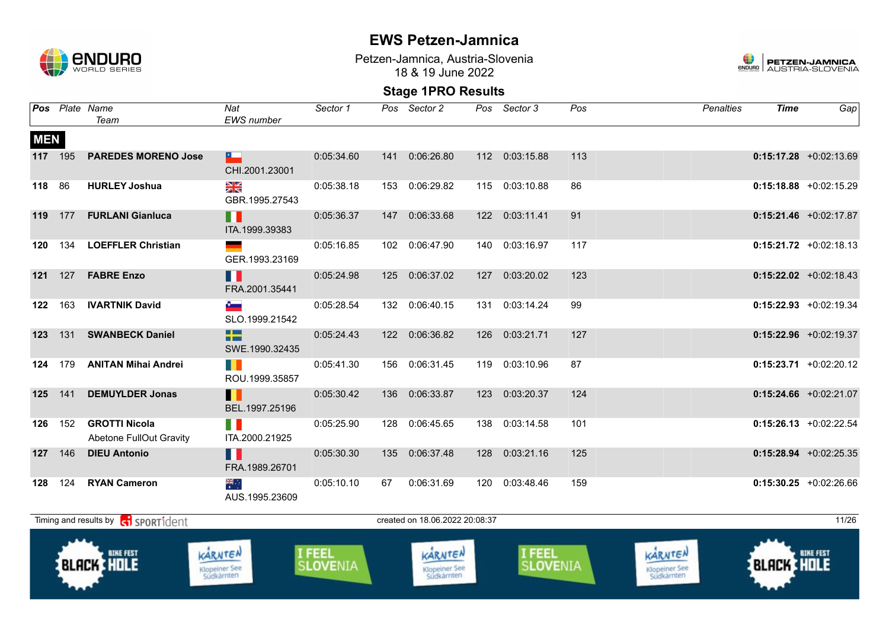

Petzen-Jamnica, Austria-Slovenia 18 & 19 June 2022



|            |                                                                                                                                                                                                                                                                        | Pos Plate Name<br>Team                                    | Nat<br><b>EWS</b> number                    | Sector 1   |     | Pos Sector 2                   | Pos | Sector 3       | Pos | <b>Penalties</b> | <b>Time</b> | Gap                       |  |
|------------|------------------------------------------------------------------------------------------------------------------------------------------------------------------------------------------------------------------------------------------------------------------------|-----------------------------------------------------------|---------------------------------------------|------------|-----|--------------------------------|-----|----------------|-----|------------------|-------------|---------------------------|--|
| <b>MEN</b> | 117 195                                                                                                                                                                                                                                                                | <b>PAREDES MORENO Jose</b>                                | $\overline{\phantom{a}}$<br>CHI.2001.23001  | 0:05:34.60 | 141 | 0:06:26.80                     | 112 | 0:03:15.88     | 113 |                  |             | $0:15:17.28$ +0:02:13.69  |  |
| 118        | 86                                                                                                                                                                                                                                                                     | <b>HURLEY Joshua</b>                                      | XK<br>X<br>GBR.1995.27543                   | 0:05:38.18 |     | 153 0:06:29.82                 |     | 115 0:03:10.88 | 86  |                  |             | $0:15:18.88$ +0:02:15.29  |  |
|            | 119 177                                                                                                                                                                                                                                                                | <b>FURLANI Gianluca</b>                                   | $\blacksquare$<br>ITA.1999.39383            | 0:05:36.37 |     | 147 0:06:33.68                 |     | 122 0:03:11.41 | 91  |                  |             | $0:15:21.46$ +0:02:17.87  |  |
| 120        | 134                                                                                                                                                                                                                                                                    | <b>LOEFFLER Christian</b>                                 | GER.1993.23169                              | 0:05:16.85 |     | 102 0:06:47.90                 |     | 140 0:03:16.97 | 117 |                  |             | $0:15:21.72 +0:02:18.13$  |  |
| 121        | 127                                                                                                                                                                                                                                                                    | <b>FABRE Enzo</b>                                         | H<br>FRA.2001.35441                         | 0:05:24.98 |     | 125 0:06:37.02                 | 127 | 0:03:20.02     | 123 |                  |             | $0:15:22.02 +0:02:18.43$  |  |
| 122        | 163                                                                                                                                                                                                                                                                    | <b>IVARTNIK David</b>                                     | $\mathbf{e}_{\text{max}}$<br>SLO.1999.21542 | 0:05:28.54 |     | 132 0:06:40.15                 |     | 131 0:03:14.24 | 99  |                  |             | $0:15:22.93$ +0:02:19.34  |  |
| 123        | 131                                                                                                                                                                                                                                                                    | <b>SWANBECK Daniel</b>                                    | ÷<br>SWE.1990.32435                         | 0:05:24.43 |     | 122 0:06:36.82                 | 126 | 0:03:21.71     | 127 |                  |             | $0:15:22.96$ +0:02:19.37  |  |
| 124        | 179                                                                                                                                                                                                                                                                    | <b>ANITAN Mihai Andrei</b>                                | <b>THE</b><br>ROU.1999.35857                | 0:05:41.30 | 156 | 0:06:31.45                     | 119 | 0:03:10.96     | 87  |                  |             | $0:15:23.71 + 0:02:20.12$ |  |
| 125        | 141                                                                                                                                                                                                                                                                    | <b>DEMUYLDER Jonas</b>                                    | H<br>BEL.1997.25196                         | 0:05:30.42 | 136 | 0:06:33.87                     | 123 | 0:03:20.37     | 124 |                  |             | $0:15:24.66$ +0:02:21.07  |  |
| 126        | 152                                                                                                                                                                                                                                                                    | <b>GROTTI Nicola</b><br>Abetone FullOut Gravity           | FI N<br>ITA.2000.21925                      | 0:05:25.90 | 128 | 0:06:45.65                     | 138 | 0:03:14.58     | 101 |                  |             | $0:15:26.13$ +0:02:22.54  |  |
| 127        | 146                                                                                                                                                                                                                                                                    | <b>DIEU Antonio</b>                                       | H<br>FRA.1989.26701                         | 0:05:30.30 |     | 135 0:06:37.48                 | 128 | 0:03:21.16     | 125 |                  |             | $0:15:28.94$ +0:02:25.35  |  |
| 128        | 124                                                                                                                                                                                                                                                                    | <b>RYAN Cameron</b>                                       | ≫ik<br>*<br>AUS.1995.23609                  | 0:05:10.10 | 67  | 0:06:31.69                     |     | 120 0:03:48.46 | 159 |                  |             | $0:15:30.25$ +0:02:26.66  |  |
|            |                                                                                                                                                                                                                                                                        | Timing and results by <b>contains and the SPORT1</b> dent |                                             |            |     | created on 18.06.2022 20:08:37 |     |                |     |                  |             | 11/26                     |  |
|            | KARNTEN<br>I FEEL<br>I FEEL<br>KARNTEN<br><b>BIKE FEST</b><br><b>BIKE FEST</b><br>KARNTEN<br><b>BLACK HOLE</b><br><b>BLACK HOLE</b><br><b>SLOVENIA</b><br><b>SLOVENIA</b><br>Klopeiner See<br>Südkärnten<br>Klopeiner See<br>Südkärnten<br>Klopeiner See<br>Südkärnten |                                                           |                                             |            |     |                                |     |                |     |                  |             |                           |  |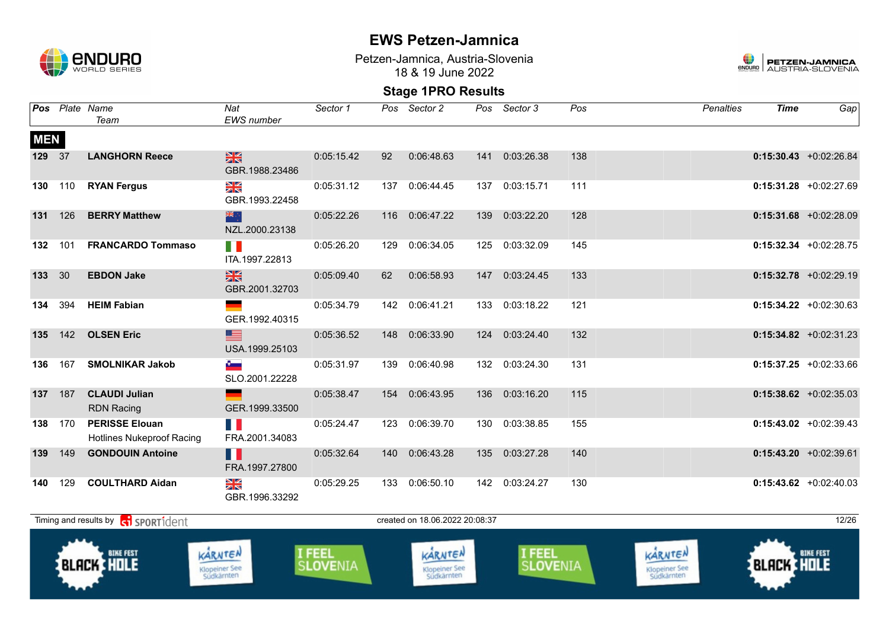

Petzen-Jamnica, Austria-Slovenia 18 & 19 June 2022



|            |     | Pos Plate Name<br>Team                                    | Nat<br><b>EWS</b> number                     | Sector 1                         |     | Pos Sector 2                                  | Pos | Sector 3                  | Pos | <b>Penalties</b>                              | <b>Time</b>       | Gap                      |
|------------|-----|-----------------------------------------------------------|----------------------------------------------|----------------------------------|-----|-----------------------------------------------|-----|---------------------------|-----|-----------------------------------------------|-------------------|--------------------------|
| <b>MEN</b> |     |                                                           |                                              |                                  |     |                                               |     |                           |     |                                               |                   |                          |
| 129 37     |     | <b>LANGHORN Reece</b>                                     | $\frac{N}{N}$<br>GBR.1988.23486              | 0:05:15.42                       | 92  | 0:06:48.63                                    | 141 | 0:03:26.38                | 138 |                                               |                   | $0:15:30.43$ +0:02:26.84 |
| 130        | 110 | <b>RYAN Fergus</b>                                        | NK<br>Ak<br>GBR.1993.22458                   | 0:05:31.12                       | 137 | 0:06:44.45                                    | 137 | 0:03:15.71                | 111 |                                               |                   | $0:15:31.28$ +0:02:27.69 |
| 131        | 126 | <b>BERRY Matthew</b>                                      | 米辛<br>NZL.2000.23138                         | 0:05:22.26                       |     | 116 0:06:47.22                                | 139 | 0:03:22.20                | 128 |                                               |                   | $0:15:31.68$ +0:02:28.09 |
| 132        | 101 | <b>FRANCARDO Tommaso</b>                                  | T N<br>ITA.1997.22813                        | 0:05:26.20                       | 129 | 0:06:34.05                                    | 125 | 0:03:32.09                | 145 |                                               |                   | $0:15:32.34$ +0:02:28.75 |
| 133        | 30  | <b>EBDON Jake</b>                                         | $\frac{N}{N}$<br>GBR.2001.32703              | 0:05:09.40                       | 62  | 0:06:58.93                                    | 147 | 0:03:24.45                | 133 |                                               |                   | $0:15:32.78$ +0:02:29.19 |
| 134        | 394 | <b>HEIM Fabian</b>                                        | GER.1992.40315                               | 0:05:34.79                       |     | 142 0:06:41.21                                | 133 | 0:03:18.22                | 121 |                                               |                   | $0:15:34.22$ +0:02:30.63 |
| 135        | 142 | <b>OLSEN Eric</b>                                         | <u>s</u><br>USA.1999.25103                   | 0:05:36.52                       | 148 | 0:06:33.90                                    | 124 | 0:03:24.40                | 132 |                                               |                   | $0:15:34.82$ +0:02:31.23 |
| 136        | 167 | <b>SMOLNIKAR Jakob</b>                                    | $\sigma_{\rm max}$<br>SLO.2001.22228         | 0:05:31.97                       | 139 | 0:06:40.98                                    | 132 | 0:03:24.30                | 131 |                                               |                   | $0:15:37.25$ +0:02:33.66 |
| 137        | 187 | <b>CLAUDI Julian</b><br><b>RDN Racing</b>                 | GER.1999.33500                               | 0:05:38.47                       | 154 | 0:06:43.95                                    | 136 | 0:03:16.20                | 115 |                                               |                   | $0:15:38.62 +0:02:35.03$ |
| 138        | 170 | <b>PERISSE Elouan</b><br><b>Hotlines Nukeproof Racing</b> | $\mathcal{L}^{\text{max}}$<br>FRA.2001.34083 | 0:05:24.47                       |     | 123 0:06:39.70                                | 130 | 0:03:38.85                | 155 |                                               |                   | $0:15:43.02$ +0:02:39.43 |
| 139        | 149 | <b>GONDOUIN Antoine</b>                                   | П<br>FRA.1997.27800                          | 0:05:32.64                       |     | 140 0:06:43.28                                | 135 | 0:03:27.28                | 140 |                                               |                   | $0:15:43.20 +0:02:39.61$ |
| 140        | 129 | <b>COULTHARD Aidan</b>                                    | ≥k<br>GBR.1996.33292                         | 0:05:29.25                       | 133 | 0:06:50.10                                    | 142 | 0:03:24.27                | 130 |                                               |                   | $0:15:43.62$ +0:02:40.03 |
|            |     | Timing and results by contract of the SPORT1dent          |                                              |                                  |     | created on 18.06.2022 20:08:37                |     |                           |     |                                               |                   | 12/26                    |
|            |     | <b>BIKE FEST</b><br><b>BLACK HOLE</b>                     | KARNTEN<br>Klopeiner See<br>Südkärnten       | <b>I FEEL</b><br><b>SLOVENIA</b> |     | KARNTEN<br><b>Klopeiner See</b><br>Südkärnten |     | I FEEL<br><b>SLOVENIA</b> |     | KARNTEN<br><b>Klopeiner See</b><br>Südkärnten | <b>BLACK HOLE</b> | <b>BIKE FEST</b>         |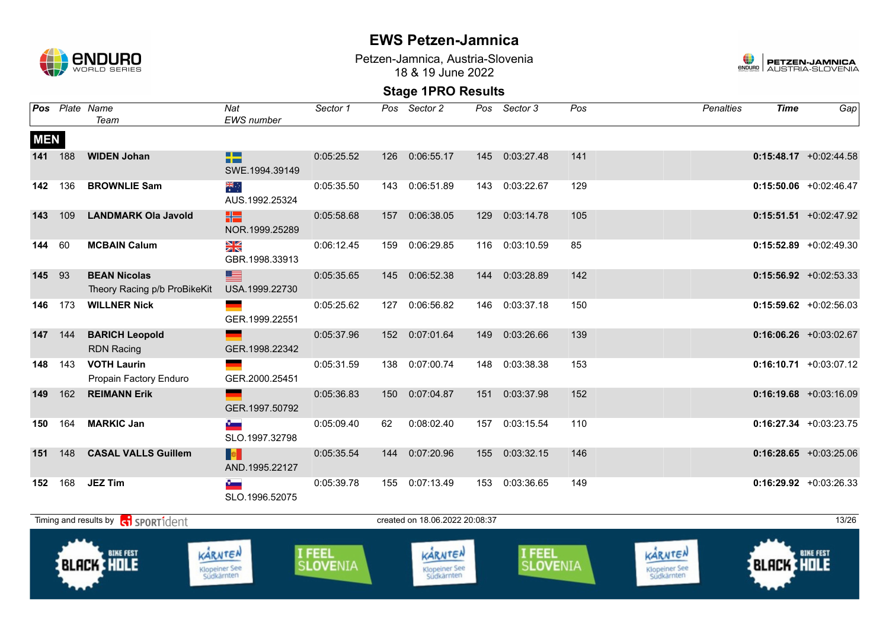

Petzen-Jamnica, Austria-Slovenia 18 & 19 June 2022



| Pos        |         | Plate Name<br>Team                                  | Nat<br><b>EWS</b> number                                                   | Sector 1                  | Pos              | Sector 2                               | Pos               | Sector 3         | Pos | <b>Penalties</b> | <b>Time</b> | Gap                       |
|------------|---------|-----------------------------------------------------|----------------------------------------------------------------------------|---------------------------|------------------|----------------------------------------|-------------------|------------------|-----|------------------|-------------|---------------------------|
| <b>MEN</b> |         |                                                     |                                                                            |                           |                  |                                        |                   |                  |     |                  |             |                           |
|            | 141 188 | <b>WIDEN Johan</b>                                  | 82<br>SWE.1994.39149                                                       | 0:05:25.52                | 126              | 0:06:55.17                             | 145               | 0:03:27.48       | 141 |                  |             | $0:15:48.17$ +0:02:44.58  |
| 142        | 136     | <b>BROWNLIE Sam</b>                                 | ैं<br>AUS.1992.25324                                                       | 0:05:35.50                |                  | 143 0:06:51.89                         | 143               | 0:03:22.67       | 129 |                  |             | $0:15:50.06$ +0:02:46.47  |
| 143        | 109     | <b>LANDMARK Ola Javold</b>                          | X٣<br>NOR.1999.25289                                                       | 0:05:58.68                | 157              | 0:06:38.05                             | 129               | 0:03:14.78       | 105 |                  |             | $0:15:51.51 + 0:02:47.92$ |
| 144        | 60      | <b>MCBAIN Calum</b>                                 | XK<br>GBR.1998.33913                                                       | 0:06:12.45                | 159              | 0:06:29.85                             | 116               | 0:03:10.59       | 85  |                  |             | $0:15:52.89$ +0:02:49.30  |
| 145        | 93      | <b>BEAN Nicolas</b><br>Theory Racing p/b ProBikeKit | <u>est</u><br>USA.1999.22730                                               | 0:05:35.65                |                  | 145 0:06:52.38                         | 144               | 0:03:28.89       | 142 |                  |             | $0:15:56.92$ +0:02:53.33  |
| 146        | 173     | <b>WILLNER Nick</b>                                 | GER.1999.22551                                                             | 0:05:25.62                | 127              | 0:06:56.82                             | 146               | 0:03:37.18       | 150 |                  |             | $0:15:59.62$ +0:02:56.03  |
| 147        | 144     | <b>BARICH Leopold</b><br><b>RDN Racing</b>          | GER.1998.22342                                                             | 0:05:37.96                |                  | 152 0:07:01.64                         | 149               | 0:03:26.66       | 139 |                  |             | $0:16:06.26$ +0:03:02.67  |
| 148        | 143     | <b>VOTH Laurin</b><br>Propain Factory Enduro        | GER.2000.25451                                                             | 0:05:31.59                | 138              | 0:07:00.74                             | 148               | 0:03:38.38       | 153 |                  |             | $0:16:10.71$ +0:03:07.12  |
| 149        | 162     | <b>REIMANN Erik</b>                                 | GER.1997.50792                                                             | 0:05:36.83                | 150 <sub>1</sub> | 0:07:04.87                             | 151               | 0:03:37.98       | 152 |                  |             | $0:16:19.68$ +0:03:16.09  |
| 150        | 164     | <b>MARKIC Jan</b>                                   | $\sim$<br>SLO.1997.32798                                                   | 0:05:09.40                | 62               | 0:08:02.40                             | 157               | 0:03:15.54       | 110 |                  |             | $0:16:27.34 +0:03:23.75$  |
| 151        | 148     | <b>CASAL VALLS Guillem</b>                          | <b>DEL</b><br>AND.1995.22127                                               | 0:05:35.54                |                  | 144 0:07:20.96                         | 155               | 0:03:32.15       | 146 |                  |             | $0:16:28.65$ +0:03:25.06  |
| 152        | 168     | <b>JEZ Tim</b>                                      | $\bullet$<br>SLO.1996.52075                                                | 0:05:39.78                |                  | 155 0:07:13.49                         |                   | 153 0:03:36.65   | 149 |                  |             | $0:16:29.92 +0:03:26.33$  |
|            |         | Timing and results by contrident                    |                                                                            |                           |                  | created on 18.06.2022 20:08:37         |                   |                  |     |                  |             | 13/26                     |
|            |         | <b>BIKE FEST</b><br><b>BLACK HOLE</b>               | <b>I FEEL</b><br>KARNTEN<br><b>SLOVENIA</b><br>Klopeiner See<br>Südkärnten | I FEEL<br><b>SLOVENIA</b> |                  | KARNTEN<br>Klopeiner See<br>Südkärnten | <b>BLACK HOLE</b> | <b>BIKE FEST</b> |     |                  |             |                           |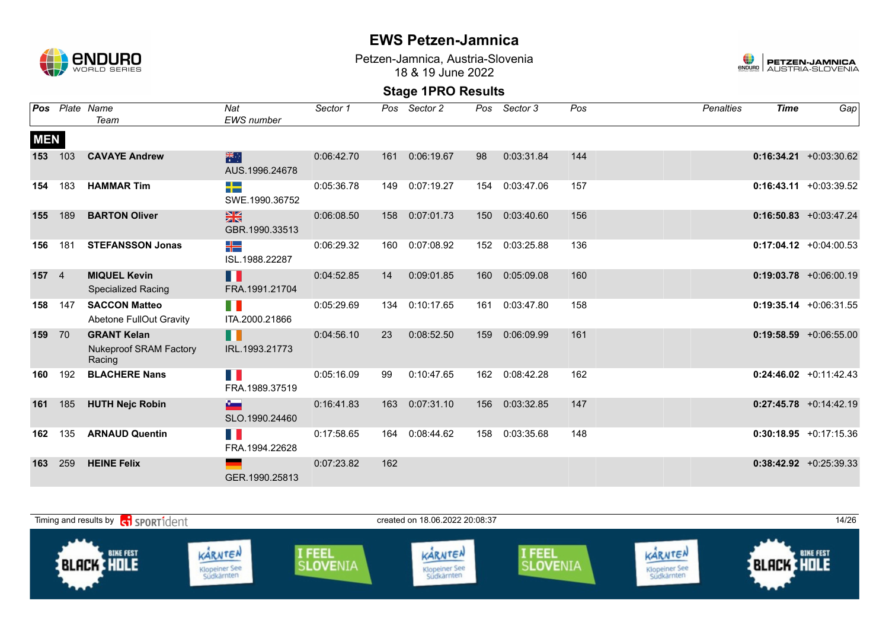

Petzen-Jamnica, Austria-Slovenia 18 & 19 June 2022



| Pos        |                | Plate Name                                                    | Nat                             | Sector 1   | Pos | Sector 2   | Pos              | Sector 3   | Pos | <b>Penalties</b> | <b>Time</b> | Gap                       |
|------------|----------------|---------------------------------------------------------------|---------------------------------|------------|-----|------------|------------------|------------|-----|------------------|-------------|---------------------------|
|            |                | Team                                                          | <b>EWS</b> number               |            |     |            |                  |            |     |                  |             |                           |
| <b>MEN</b> |                |                                                               |                                 |            |     |            |                  |            |     |                  |             |                           |
| 153        | 103            | <b>CAVAYE Andrew</b>                                          | 米<br>AUS.1996.24678             | 0:06:42.70 | 161 | 0:06:19.67 | 98               | 0:03:31.84 | 144 |                  |             | $0:16:34.21 + 0:03:30.62$ |
| 154        | 183            | <b>HAMMAR Tim</b>                                             | 55<br>SWE.1990.36752            | 0:05:36.78 | 149 | 0:07:19.27 | 154              | 0:03:47.06 | 157 |                  |             | $0:16:43.11 + 0:03:39.52$ |
| 155        | 189            | <b>BARTON Oliver</b>                                          | $\frac{N}{N}$<br>GBR.1990.33513 | 0:06:08.50 | 158 | 0:07:01.73 | 150 <sub>1</sub> | 0:03:40.60 | 156 |                  |             | $0:16:50.83 + 0:03:47.24$ |
| 156        | 181            | <b>STEFANSSON Jonas</b>                                       | ╬╧<br>ISL.1988.22287            | 0:06:29.32 | 160 | 0:07:08.92 | 152              | 0:03:25.88 | 136 |                  |             | $0:17:04.12 + 0:04:00.53$ |
| 157        | $\overline{4}$ | <b>MIQUEL Kevin</b><br><b>Specialized Racing</b>              | M<br>FRA.1991.21704             | 0:04:52.85 | 14  | 0:09:01.85 | 160              | 0:05:09.08 | 160 |                  |             | $0:19:03.78$ +0:06:00.19  |
| 158        | 147            | <b>SACCON Matteo</b><br>Abetone FullOut Gravity               | H.<br>ITA.2000.21866            | 0:05:29.69 | 134 | 0:10:17.65 | 161              | 0:03:47.80 | 158 |                  |             | $0:19:35.14 + 0:06:31.55$ |
| 159        | 70             | <b>GRANT Kelan</b><br><b>Nukeproof SRAM Factory</b><br>Racing | H<br>IRL.1993.21773             | 0:04:56.10 | 23  | 0:08:52.50 | 159              | 0:06:09.99 | 161 |                  |             | $0:19:58.59 + 0:06:55.00$ |
| 160        | 192            | <b>BLACHERE Nans</b>                                          | M.<br>FRA.1989.37519            | 0:05:16.09 | 99  | 0:10:47.65 | 162              | 0:08:42.28 | 162 |                  |             | $0:24:46.02 +0:11:42.43$  |
| 161        | 185            | <b>HUTH Nejc Robin</b>                                        | $\sim$<br>SLO.1990.24460        | 0:16:41.83 | 163 | 0:07:31.10 | 156              | 0:03:32.85 | 147 |                  |             | $0:27:45.78$ +0:14:42.19  |
| 162        | 135            | <b>ARNAUD Quentin</b>                                         | H<br>FRA.1994.22628             | 0:17:58.65 | 164 | 0:08:44.62 | 158              | 0:03:35.68 | 148 |                  |             | $0:30:18.95 +0:17:15.36$  |
| 163        | 259            | <b>HEINE Felix</b>                                            | GER.1990.25813                  | 0:07:23.82 | 162 |            |                  |            |     |                  |             | $0:38:42.92 + 0:25:39.33$ |

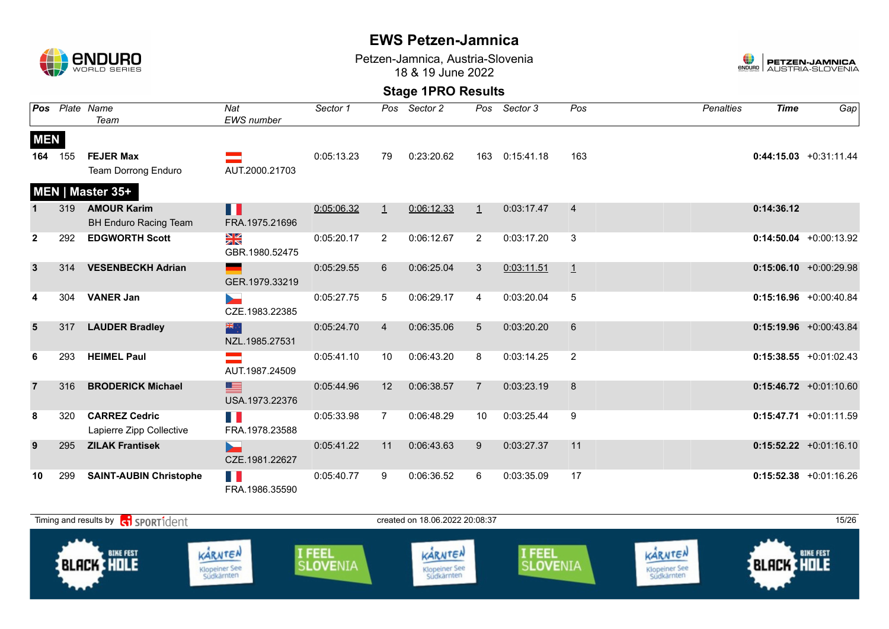

Petzen-Jamnica, Austria-Slovenia 18 & 19 June 2022



|                |     | Pos Plate Name<br>Team                           | Nat<br><b>EWS</b> number | Sector 1   | Pos            | Sector 2   | Pos            | Sector 3   | Pos            | <b>Penalties</b> | <b>Time</b> | Gap                       |
|----------------|-----|--------------------------------------------------|--------------------------|------------|----------------|------------|----------------|------------|----------------|------------------|-------------|---------------------------|
| <b>MEN</b>     |     |                                                  |                          |            |                |            |                |            |                |                  |             |                           |
| 164            | 155 | <b>FEJER Max</b>                                 |                          | 0:05:13.23 | 79             | 0:23:20.62 | 163            | 0:15:41.18 | 163            |                  |             | $0:44:15.03 +0:31:11.44$  |
|                |     | <b>Team Dorrong Enduro</b>                       | AUT.2000.21703           |            |                |            |                |            |                |                  |             |                           |
|                |     | MEN   Master 35+                                 |                          |            |                |            |                |            |                |                  |             |                           |
|                | 319 | <b>AMOUR Karim</b>                               | Ш                        | 0:05:06.32 | $\perp$        | 0:06:12.33 | $\mathbf{1}$   | 0:03:17.47 | $\overline{4}$ |                  | 0:14:36.12  |                           |
|                |     | <b>BH Enduro Racing Team</b>                     | FRA.1975.21696           |            |                |            |                |            |                |                  |             |                           |
| $\mathbf{2}$   | 292 | <b>EDGWORTH Scott</b>                            | N<br>X<br>GBR.1980.52475 | 0:05:20.17 | $\overline{2}$ | 0:06:12.67 | 2              | 0:03:17.20 | 3              |                  |             | $0:14:50.04$ +0:00:13.92  |
| $\mathbf{3}$   | 314 | <b>VESENBECKH Adrian</b>                         | GER.1979.33219           | 0:05:29.55 | 6              | 0:06:25.04 | 3              | 0:03:11.51 | $\overline{1}$ |                  |             | $0:15:06.10$ +0:00:29.98  |
|                | 304 | <b>VANER Jan</b>                                 | $\sim$<br>CZE.1983.22385 | 0:05:27.75 | 5              | 0:06:29.17 | 4              | 0:03:20.04 | 5              |                  |             | $0:15:16.96$ +0:00:40.84  |
| $5\phantom{1}$ | 317 | <b>LAUDER Bradley</b>                            | 米州<br>NZL.1985.27531     | 0:05:24.70 | $\overline{4}$ | 0:06:35.06 | 5              | 0:03:20.20 | 6              |                  |             | $0:15:19.96$ +0:00:43.84  |
| 6              | 293 | <b>HEIMEL Paul</b>                               | AUT.1987.24509           | 0:05:41.10 | 10             | 0:06:43.20 | 8              | 0:03:14.25 | $\overline{2}$ |                  |             | $0:15:38.55$ +0:01:02.43  |
| $\overline{7}$ | 316 | <b>BRODERICK Michael</b>                         | ▇≣<br>USA.1973.22376     | 0:05:44.96 | 12             | 0:06:38.57 | $\overline{7}$ | 0:03:23.19 | 8              |                  |             | $0:15:46.72 +0:01:10.60$  |
| 8              | 320 | <b>CARREZ Cedric</b><br>Lapierre Zipp Collective | n K<br>FRA.1978.23588    | 0:05:33.98 | $\overline{7}$ | 0:06:48.29 | 10             | 0:03:25.44 | 9              |                  |             | $0:15:47.71 + 0:01:11.59$ |
| 9              | 295 | <b>ZILAK Frantisek</b>                           | ь.<br>CZE.1981.22627     | 0:05:41.22 | 11             | 0:06:43.63 | 9              | 0:03:27.37 | 11             |                  |             | $0:15:52.22 +0:01:16.10$  |
| 10             | 299 | <b>SAINT-AUBIN Christophe</b>                    | T N<br>FRA.1986.35590    | 0:05:40.77 | 9              | 0:06:36.52 | 6              | 0:03:35.09 | 17             |                  |             | $0:15:52.38$ +0:01:16.26  |

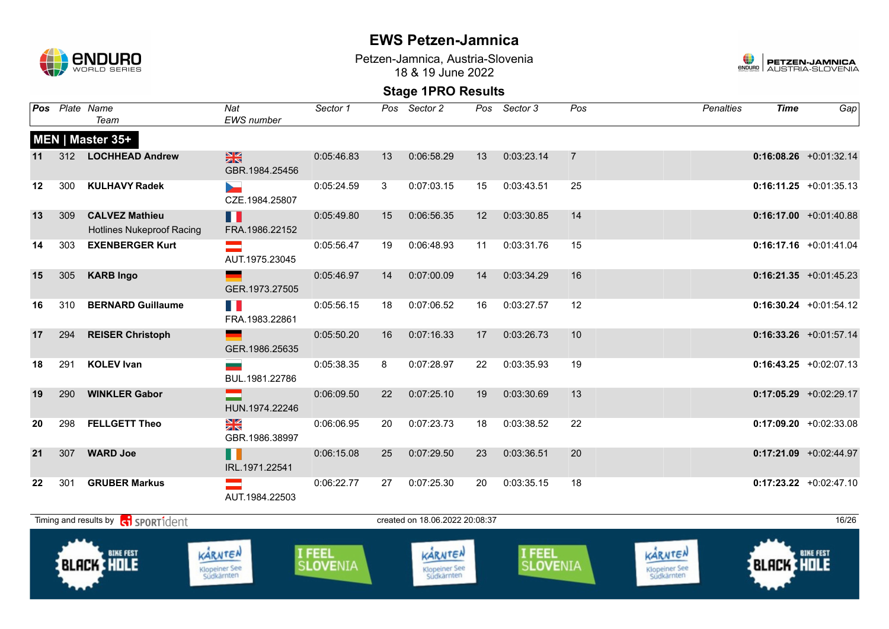

Petzen-Jamnica, Austria-Slovenia 18 & 19 June 2022



| Pos |     | Plate Name<br>Team                                        | Nat<br>EWS number                       | Sector 1                  | Pos | Sector 2                               |    | Pos Sector 3       | Pos            | <b>Penalties</b>                       | <b>Time</b>       | Gap                      |
|-----|-----|-----------------------------------------------------------|-----------------------------------------|---------------------------|-----|----------------------------------------|----|--------------------|----------------|----------------------------------------|-------------------|--------------------------|
|     |     | MEN   Master 35+                                          |                                         |                           |     |                                        |    |                    |                |                                        |                   |                          |
| 11  |     | 312 LOCHHEAD Andrew                                       | $\frac{N}{N}$<br>GBR.1984.25456         | 0:05:46.83                | 13  | 0:06:58.29                             | 13 | 0:03:23.14         | $\overline{7}$ |                                        |                   | $0:16:08.26$ +0:01:32.14 |
| 12  | 300 | <b>KULHAVY Radek</b>                                      | $\blacktriangleright$<br>CZE.1984.25807 | 0:05:24.59                | 3   | 0:07:03.15                             | 15 | 0:03:43.51         | 25             |                                        |                   | $0:16:11.25 +0:01:35.13$ |
| 13  | 309 | <b>CALVEZ Mathieu</b><br><b>Hotlines Nukeproof Racing</b> | H<br>FRA.1986.22152                     | 0:05:49.80                | 15  | 0:06:56.35                             | 12 | 0:03:30.85         | 14             |                                        |                   | $0:16:17.00 +0:01:40.88$ |
| 14  | 303 | <b>EXENBERGER Kurt</b>                                    | an an<br>AUT.1975.23045                 | 0:05:56.47                | 19  | 0:06:48.93                             | 11 | 0:03:31.76         | 15             |                                        |                   | $0:16:17.16$ +0:01:41.04 |
| 15  | 305 | <b>KARB Ingo</b>                                          | GER.1973.27505                          | 0:05:46.97                | 14  | 0:07:00.09                             | 14 | 0:03:34.29         | 16             |                                        |                   | $0:16:21.35 +0:01:45.23$ |
| 16  | 310 | <b>BERNARD Guillaume</b>                                  | T N<br>FRA.1983.22861                   | 0:05:56.15                | 18  | 0:07:06.52                             | 16 | 0:03:27.57         | 12             |                                        |                   | $0:16:30.24$ +0:01:54.12 |
| 17  | 294 | <b>REISER Christoph</b>                                   | GER.1986.25635                          | 0:05:50.20                | 16  | 0:07:16.33                             | 17 | 0:03:26.73         | 10             |                                        |                   | $0:16:33.26 +0:01:57.14$ |
| 18  | 291 | <b>KOLEV Ivan</b>                                         | BUL.1981.22786                          | 0:05:38.35                | 8   | 0:07:28.97                             | 22 | 0:03:35.93         | 19             |                                        |                   | $0:16:43.25 +0:02:07.13$ |
| 19  | 290 | <b>WINKLER Gabor</b>                                      | HUN.1974.22246                          | 0:06:09.50                | 22  | 0:07:25.10                             | 19 | 0:03:30.69         | 13             |                                        |                   | $0:17:05.29$ +0:02:29.17 |
| 20  | 298 | <b>FELLGETT Theo</b>                                      | XK<br>GBR.1986.38997                    | 0:06:06.95                | 20  | 0:07:23.73                             | 18 | 0:03:38.52         | 22             |                                        |                   | $0:17:09.20 +0:02:33.08$ |
| 21  | 307 | <b>WARD Joe</b>                                           | H<br>IRL.1971.22541                     | 0:06:15.08                | 25  | 0:07:29.50                             | 23 | 0:03:36.51         | 20             |                                        |                   | $0:17:21.09$ +0:02:44.97 |
| 22  | 301 | <b>GRUBER Markus</b>                                      | AUT.1984.22503                          | 0:06:22.77                | 27  | 0:07:25.30                             | 20 | 0:03:35.15         | 18             |                                        |                   | $0:17:23.22 +0:02:47.10$ |
|     |     | Timing and results by contract of the SPORT1 dent         |                                         |                           |     | created on 18.06.2022 20:08:37         |    |                    |                |                                        |                   | 16/26                    |
|     |     | <b>BIKE FEST</b><br><b>BLACK HOLE</b>                     | KARNTEN<br>Klopeiner See<br>Südkärnten  | I FEEL<br><b>SLOVENIA</b> |     | KARNTEN<br>Klopeiner See<br>Südkärnten |    | I FEEL<br>SLOVENIA |                | KARNTEN<br>Klopeiner See<br>Südkärnten | <b>BLACK HOLE</b> | <b>BIKE FEST</b>         |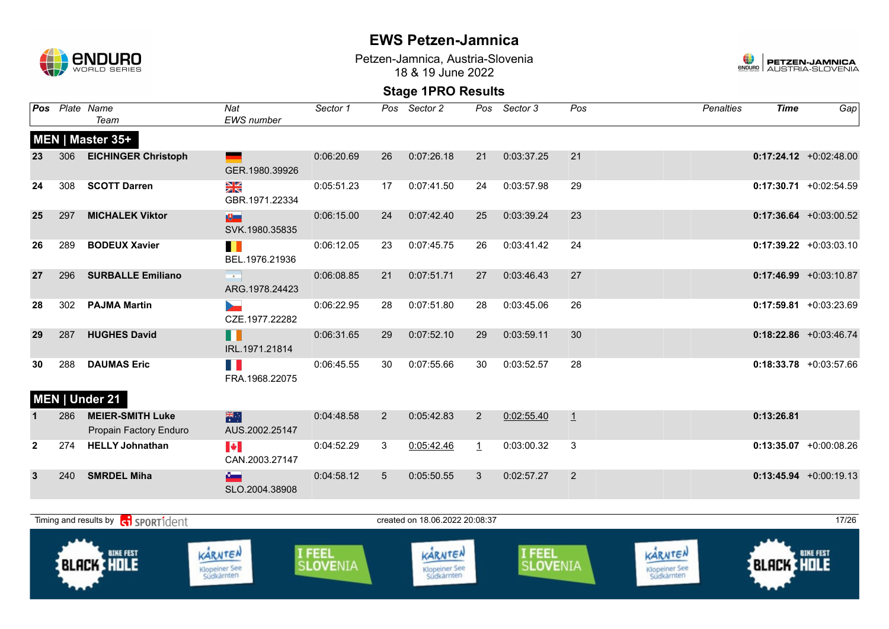

Petzen-Jamnica, Austria-Slovenia 18 & 19 June 2022



|              |     | Pos Plate Name<br>Team                            | Nat<br><b>EWS</b> number                | Sector 1                  |                                | Pos Sector 2                           | Pos     | Sector 3                  | Pos     | <b>Penalties</b>                       | <b>Time</b>       | Gap                       |
|--------------|-----|---------------------------------------------------|-----------------------------------------|---------------------------|--------------------------------|----------------------------------------|---------|---------------------------|---------|----------------------------------------|-------------------|---------------------------|
|              |     | MEN   Master 35+                                  |                                         |                           |                                |                                        |         |                           |         |                                        |                   |                           |
| 23           | 306 | <b>EICHINGER Christoph</b>                        | GER.1980.39926                          | 0:06:20.69                | 26                             | 0:07:26.18                             | 21      | 0:03:37.25                | 21      |                                        |                   | $0:17:24.12$ +0:02:48.00  |
| 24           | 308 | <b>SCOTT Darren</b>                               | XK<br>GBR.1971.22334                    | 0:05:51.23                | 17                             | 0:07:41.50                             | 24      | 0:03:57.98                | 29      |                                        |                   | $0:17:30.71$ +0:02:54.59  |
| 25           | 297 | <b>MICHALEK Viktor</b>                            | $\mathbf{E}$<br>SVK.1980.35835          | 0:06:15.00                | 24                             | 0:07:42.40                             | 25      | 0:03:39.24                | 23      |                                        |                   | $0:17:36.64$ +0:03:00.52  |
| 26           | 289 | <b>BODEUX Xavier</b>                              | H.<br>BEL.1976.21936                    | 0:06:12.05                | 23                             | 0:07:45.75                             | 26      | 0:03:41.42                | 24      |                                        |                   | $0:17:39.22 +0:03:03.10$  |
| 27           | 296 | <b>SURBALLE Emiliano</b>                          | $\sim$ 0.00<br>ARG.1978.24423           | 0:06:08.85                | 21                             | 0:07:51.71                             | 27      | 0:03:46.43                | 27      |                                        |                   | $0:17:46.99 + 0:03:10.87$ |
| 28           | 302 | <b>PAJMA Martin</b>                               | <b>Designation</b><br>CZE.1977.22282    | 0:06:22.95                | 28                             | 0:07:51.80                             | 28      | 0:03:45.06                | 26      |                                        |                   | $0:17:59.81 + 0:03:23.69$ |
| 29           | 287 | <b>HUGHES David</b>                               | П<br>IRL.1971.21814                     | 0:06:31.65                | 29                             | 0:07:52.10                             | 29      | 0:03:59.11                | 30      |                                        |                   | $0:18:22.86$ +0:03:46.74  |
| 30           | 288 | <b>DAUMAS Eric</b>                                | FRA.1968.22075                          | 0:06:45.55                | 30                             | 0:07:55.66                             | 30      | 0:03:52.57                | 28      |                                        |                   | $0:18:33.78$ +0:03:57.66  |
|              |     | MEN   Under 21                                    |                                         |                           |                                |                                        |         |                           |         |                                        |                   |                           |
|              | 286 | <b>MEIER-SMITH Luke</b><br>Propain Factory Enduro | 米<br>AUS.2002.25147                     | 0:04:48.58                | $\overline{2}$                 | 0:05:42.83                             | 2       | 0:02:55.40                | $\perp$ |                                        | 0:13:26.81        |                           |
| $\mathbf{2}$ | 274 | <b>HELLY Johnathan</b>                            | $\blacktriangleright$<br>CAN.2003.27147 | 0:04:52.29                | $\mathbf{3}$                   | 0:05:42.46                             | $\perp$ | 0:03:00.32                | 3       |                                        |                   | $0:13:35.07$ +0:00:08.26  |
| 3            | 240 | <b>SMRDEL Miha</b>                                | $\sim$<br>SLO.2004.38908                | 0:04:58.12                | $5\overline{)}$                | 0:05:50.55                             | 3       | 0:02:57.27                | 2       |                                        |                   | $0:13:45.94 +0:00:19.13$  |
|              |     | Timing and results by ci SPORT1dent               |                                         |                           | created on 18.06.2022 20:08:37 |                                        |         |                           |         |                                        | 17/26             |                           |
|              |     | <b>BIKE FEST</b><br><b>BLACK HOLE</b>             | KARNTEN<br>Klopeiner See<br>Südkärnten  | I FEEL<br><b>SLOVENIA</b> |                                | KARNTEN<br>Klopeiner See<br>Südkärnten |         | I FEEL<br><b>SLOVENIA</b> |         | KARNTEN<br>Klopeiner See<br>Südkärnten | <b>BLACK HOLE</b> | <b>BIKE FEST</b>          |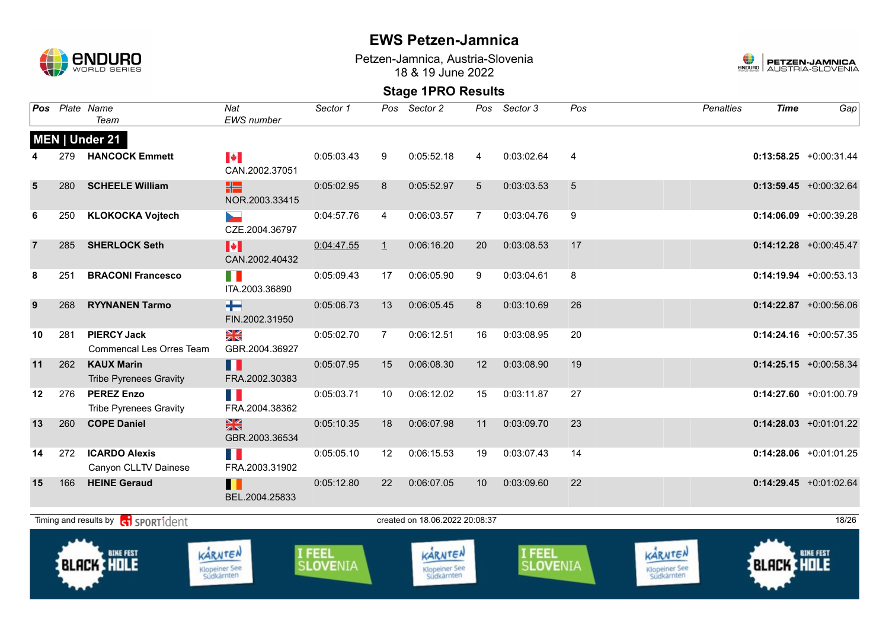

Petzen-Jamnica, Austria-Slovenia 18 & 19 June 2022



| Pos            |     | Plate Name<br>Team                                    | Nat<br><b>EWS</b> number                  | Sector 1                         |                | Pos Sector 2                           | Pos             | Sector 3                  | Pos | <b>Penalties</b>                       | <b>Time</b>       | Gap                       |
|----------------|-----|-------------------------------------------------------|-------------------------------------------|----------------------------------|----------------|----------------------------------------|-----------------|---------------------------|-----|----------------------------------------|-------------------|---------------------------|
|                |     | MEN   Under 21                                        |                                           |                                  |                |                                        |                 |                           |     |                                        |                   |                           |
|                | 279 | <b>HANCOCK Emmett</b>                                 | $\blacktriangleright$<br>CAN.2002.37051   | 0:05:03.43                       | 9              | 0:05:52.18                             | 4               | 0:03:02.64                | 4   |                                        |                   | $0:13:58.25 + 0:00:31.44$ |
| 5              | 280 | <b>SCHEELE William</b>                                | HS<br>NOR.2003.33415                      | 0:05:02.95                       | 8              | 0:05:52.97                             | 5               | 0:03:03.53                | 5   |                                        |                   | $0:13:59.45$ +0:00:32.64  |
| 6              | 250 | <b>KLOKOCKA Vojtech</b>                               | CZE.2004.36797                            | 0:04:57.76                       | 4              | 0:06:03.57                             | $\overline{7}$  | 0:03:04.76                | 9   |                                        |                   | $0:14:06.09$ +0:00:39.28  |
| $\overline{7}$ | 285 | <b>SHERLOCK Seth</b>                                  | M<br>CAN.2002.40432                       | 0:04:47.55                       | $\perp$        | 0:06:16.20                             | 20              | 0:03:08.53                | 17  |                                        |                   | $0:14:12.28$ +0:00:45.47  |
| 8              | 251 | <b>BRACONI Francesco</b>                              | H B<br>ITA.2003.36890                     | 0:05:09.43                       | 17             | 0:06:05.90                             | 9               | 0:03:04.61                | 8   |                                        |                   | $0:14:19.94 +0:00:53.13$  |
| 9              | 268 | <b>RYYNANEN Tarmo</b>                                 | $\pm$<br>FIN.2002.31950                   | 0:05:06.73                       | 13             | 0:06:05.45                             | 8               | 0:03:10.69                | 26  |                                        |                   | $0:14:22.87$ +0:00:56.06  |
| 10             | 281 | <b>PIERCY Jack</b><br><b>Commencal Les Orres Team</b> | $\frac{\sum x}{\sum x}$<br>GBR.2004.36927 | 0:05:02.70                       | $\overline{7}$ | 0:06:12.51                             | 16              | 0:03:08.95                | 20  |                                        |                   | $0:14:24.16$ +0:00:57.35  |
| 11             | 262 | <b>KAUX Marin</b><br><b>Tribe Pyrenees Gravity</b>    | Ш<br>FRA.2002.30383                       | 0:05:07.95                       | 15             | 0:06:08.30                             | 12 <sup>2</sup> | 0:03:08.90                | 19  |                                        |                   | $0:14:25.15 + 0:00:58.34$ |
| 12             | 276 | <b>PEREZ Enzo</b><br><b>Tribe Pyrenees Gravity</b>    | FRA.2004.38362                            | 0:05:03.71                       | 10             | 0:06:12.02                             | 15              | 0:03:11.87                | 27  |                                        |                   | $0:14:27.60 +0:01:00.79$  |
| 13             | 260 | <b>COPE Daniel</b>                                    | $\frac{N}{N}$<br>GBR.2003.36534           | 0:05:10.35                       | 18             | 0:06:07.98                             | 11              | 0:03:09.70                | 23  |                                        |                   | $0:14:28.03$ +0:01:01.22  |
| 14             | 272 | <b>ICARDO Alexis</b><br>Canyon CLLTV Dainese          | T N<br>FRA.2003.31902                     | 0:05:05.10                       | 12             | 0:06:15.53                             | 19              | 0:03:07.43                | 14  |                                        |                   | $0:14:28.06$ +0:01:01.25  |
| 15             | 166 | <b>HEINE Geraud</b>                                   | H<br>BEL.2004.25833                       | 0:05:12.80                       | 22             | 0:06:07.05                             | 10 <sup>°</sup> | 0:03:09.60                | 22  |                                        |                   | $0:14:29.45$ +0:01:02.64  |
|                |     | Timing and results by contract SPORT1dent             |                                           |                                  |                | created on 18.06.2022 20:08:37         |                 |                           |     |                                        |                   | 18/26                     |
|                |     | <b>BIKE FEST</b><br><b>BLACK HOLE</b>                 | KARNTEN<br>Klopeiner See<br>Südkärnten    | <b>I FEEL</b><br><b>SLOVENIA</b> |                | KARNTEN<br>Klopeiner See<br>Südkärnten |                 | <b>I FEEL</b><br>SLOVENIA |     | KARNTEN<br>Klopeiner See<br>Südkärnten | <b>BLACK HOLE</b> | <b>BIKE FEST</b>          |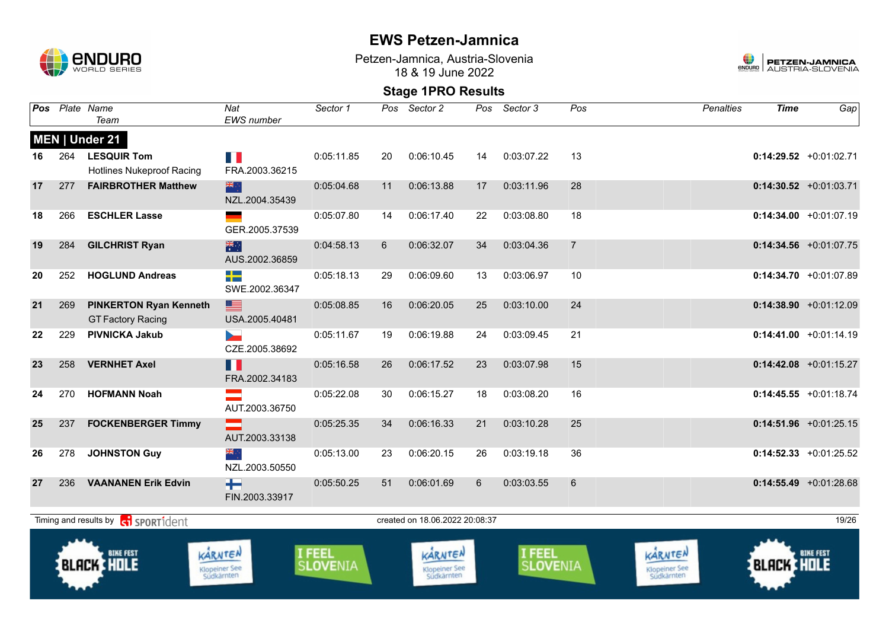

Petzen-Jamnica, Austria-Slovenia 18 & 19 June 2022



| Pos |     | Plate Name<br>Team                                        | Nat<br><b>EWS</b> number | Sector 1                  | Pos            | Sector 2                               | Pos | Sector 3                  | Pos            | <b>Penalties</b>                       | <b>Time</b>       | Gap                       |
|-----|-----|-----------------------------------------------------------|--------------------------|---------------------------|----------------|----------------------------------------|-----|---------------------------|----------------|----------------------------------------|-------------------|---------------------------|
|     |     | MEN   Under 21                                            |                          |                           |                |                                        |     |                           |                |                                        |                   |                           |
| 16  | 264 | <b>LESQUIR Tom</b><br><b>Hotlines Nukeproof Racing</b>    | E.<br>FRA.2003.36215     | 0:05:11.85                | 20             | 0:06:10.45                             | 14  | 0:03:07.22                | 13             |                                        |                   | $0:14:29.52$ +0:01:02.71  |
| 17  | 277 | <b>FAIRBROTHER Matthew</b>                                | 器亭<br>NZL.2004.35439     | 0:05:04.68                | 11             | 0:06:13.88                             | 17  | 0:03:11.96                | 28             |                                        |                   | $0:14:30.52$ +0:01:03.71  |
| 18  | 266 | <b>ESCHLER Lasse</b>                                      | GER.2005.37539           | 0:05:07.80                | 14             | 0:06:17.40                             | 22  | 0:03:08.80                | 18             |                                        |                   | $0:14:34.00 +0:01:07.19$  |
| 19  | 284 | <b>GILCHRIST Ryan</b>                                     | 米<br>AUS.2002.36859      | 0:04:58.13                | $6\phantom{1}$ | 0:06:32.07                             | 34  | 0:03:04.36                | $\overline{7}$ |                                        |                   | $0:14:34.56$ +0:01:07.75  |
| 20  | 252 | <b>HOGLUND Andreas</b>                                    | ╇<br>SWE.2002.36347      | 0:05:18.13                | 29             | 0:06:09.60                             | 13  | 0:03:06.97                | 10             |                                        |                   | $0:14:34.70 +0:01:07.89$  |
| 21  | 269 | <b>PINKERTON Ryan Kenneth</b><br><b>GT Factory Racing</b> | ■<br>USA.2005.40481      | 0:05:08.85                | 16             | 0:06:20.05                             | 25  | 0:03:10.00                | 24             |                                        |                   | $0:14:38.90 +0:01:12.09$  |
| 22  | 229 | <b>PIVNICKA Jakub</b>                                     | b.<br>CZE.2005.38692     | 0:05:11.67                | 19             | 0:06:19.88                             | 24  | 0:03:09.45                | 21             |                                        |                   | $0:14:41.00 +0:01:14.19$  |
| 23  | 258 | <b>VERNHET Axel</b>                                       | H H<br>FRA.2002.34183    | 0:05:16.58                | 26             | 0:06:17.52                             | 23  | 0:03:07.98                | 15             |                                        |                   | $0:14:42.08$ +0:01:15.27  |
| 24  | 270 | <b>HOFMANN Noah</b>                                       | AUT.2003.36750           | 0:05:22.08                | 30             | 0:06:15.27                             | 18  | 0:03:08.20                | 16             |                                        |                   | $0:14:45.55 + 0:01:18.74$ |
| 25  | 237 | <b>FOCKENBERGER Timmy</b>                                 | AUT.2003.33138           | 0:05:25.35                | 34             | 0:06:16.33                             | 21  | 0:03:10.28                | 25             |                                        |                   | $0:14:51.96$ +0:01:25.15  |
| 26  | 278 | <b>JOHNSTON Guy</b>                                       | ▓<br>NZL.2003.50550      | 0:05:13.00                | 23             | 0:06:20.15                             | 26  | 0:03:19.18                | 36             |                                        |                   | $0:14:52.33 +0:01:25.52$  |
| 27  | 236 | <b>VAANANEN Erik Edvin</b>                                | ┿┥<br>FIN.2003.33917     | 0:05:50.25                | 51             | 0:06:01.69                             | 6   | 0:03:03.55                | 6              |                                        |                   | $0:14:55.49$ +0:01:28.68  |
|     |     | Timing and results by <b>contract</b> sport ident         |                          |                           |                | created on 18.06.2022 20:08:37         |     |                           |                |                                        |                   | 19/26                     |
|     |     | <b>BIKE FEST</b><br><b>BLACK HOLE</b>                     | KARNTEN<br>Klopeiner See | I FEEL<br><b>SLOVENIA</b> |                | KARNTEN<br>Klopeiner See<br>Südkärnten |     | I FEEL<br><b>SLOVENIA</b> |                | KARNTEN<br>Klopeiner See<br>Südkärnten | <b>BLACK HOLE</b> | <b>BIKE FEST</b>          |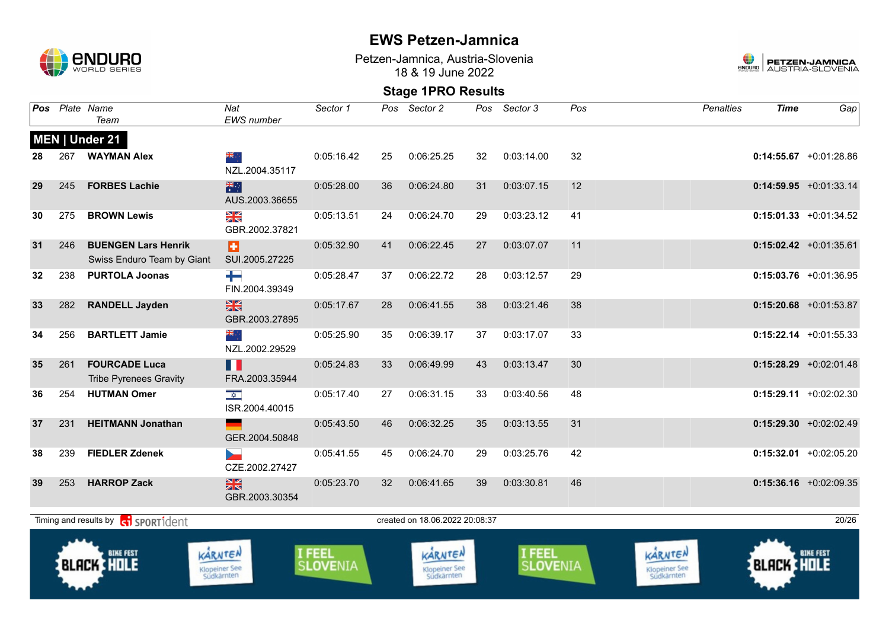

Petzen-Jamnica, Austria-Slovenia 18 & 19 June 2022



| Pos |     | Plate Name<br>Team                                       | Nat<br><b>EWS</b> number               | Sector 1                  | Pos | Sector 2                               | Pos | Sector 3           | Pos | <b>Penalties</b>                       | <b>Time</b>       | $Ga$ p                    |
|-----|-----|----------------------------------------------------------|----------------------------------------|---------------------------|-----|----------------------------------------|-----|--------------------|-----|----------------------------------------|-------------------|---------------------------|
|     |     | MEN   Under 21                                           |                                        |                           |     |                                        |     |                    |     |                                        |                   |                           |
| 28  | 267 | <b>WAYMAN Alex</b>                                       | ▓<br>NZL.2004.35117                    | 0:05:16.42                | 25  | 0:06:25.25                             | 32  | 0:03:14.00         | 32  |                                        |                   | $0:14:55.67 +0:01:28.86$  |
| 29  | 245 | <b>FORBES Lachie</b>                                     | 米<br>AUS.2003.36655                    | 0:05:28.00                | 36  | 0:06:24.80                             | 31  | 0:03:07.15         | 12  |                                        |                   | $0:14:59.95$ +0:01:33.14  |
| 30  | 275 | <b>BROWN Lewis</b>                                       | X<br>GBR.2002.37821                    | 0:05:13.51                | 24  | 0:06:24.70                             | 29  | 0:03:23.12         | 41  |                                        |                   | $0:15:01.33 +0:01:34.52$  |
| 31  | 246 | <b>BUENGEN Lars Henrik</b><br>Swiss Enduro Team by Giant | Ð<br>SUI.2005.27225                    | 0:05:32.90                | 41  | 0:06:22.45                             | 27  | 0:03:07.07         | 11  |                                        |                   | $0:15:02.42 +0:01:35.61$  |
| 32  | 238 | <b>PURTOLA Joonas</b>                                    | ┿<br>FIN.2004.39349                    | 0:05:28.47                | 37  | 0:06:22.72                             | 28  | 0:03:12.57         | 29  |                                        |                   | $0:15:03.76$ +0:01:36.95  |
| 33  | 282 | <b>RANDELL Jayden</b>                                    | $\frac{N}{N}$<br>GBR.2003.27895        | 0:05:17.67                | 28  | 0:06:41.55                             | 38  | 0:03:21.46         | 38  |                                        |                   | $0:15:20.68$ +0:01:53.87  |
| 34  | 256 | <b>BARTLETT Jamie</b>                                    | ak ∴<br>NZL.2002.29529                 | 0:05:25.90                | 35  | 0:06:39.17                             | 37  | 0:03:17.07         | 33  |                                        |                   | $0:15:22.14$ +0:01:55.33  |
| 35  | 261 | <b>FOURCADE Luca</b><br><b>Tribe Pyrenees Gravity</b>    | H.<br>FRA.2003.35944                   | 0:05:24.83                | 33  | 0:06:49.99                             | 43  | 0:03:13.47         | 30  |                                        |                   | $0:15:28.29$ +0:02:01.48  |
| 36  | 254 | <b>HUTMAN Omer</b>                                       | $\frac{1}{\sqrt{2}}$<br>ISR.2004.40015 | 0:05:17.40                | 27  | 0:06:31.15                             | 33  | 0:03:40.56         | 48  |                                        |                   | $0:15:29.11 + 0:02:02.30$ |
| 37  | 231 | <b>HEITMANN Jonathan</b>                                 | GER.2004.50848                         | 0:05:43.50                | 46  | 0:06:32.25                             | 35  | 0:03:13.55         | 31  |                                        |                   | $0:15:29.30 +0:02:02.49$  |
| 38  | 239 | <b>FIEDLER Zdenek</b>                                    | CZE.2002.27427                         | 0:05:41.55                | 45  | 0:06:24.70                             | 29  | 0:03:25.76         | 42  |                                        |                   | $0:15:32.01$ +0:02:05.20  |
| 39  | 253 | <b>HARROP Zack</b>                                       | $\frac{N}{N}$<br>GBR.2003.30354        | 0:05:23.70                | 32  | 0:06:41.65                             | 39  | 0:03:30.81         | 46  |                                        |                   | $0:15:36.16$ +0:02:09.35  |
|     |     | Timing and results by ci SPORT1dent                      |                                        |                           |     | created on 18.06.2022 20:08:37         |     |                    |     |                                        |                   | 20/26                     |
|     |     | <b>BIKE FEST</b><br><b>BLACK HOLE</b>                    | KARNTEN<br>Klopeiner See<br>Südkärnten | I FEEL<br><b>SLOVENIA</b> |     | KARNTEN<br>Klopeiner See<br>Südkärnten |     | I FEEL<br>SLOVENIA |     | KARNTEN<br>Klopeiner See<br>Südkärnten | <b>BLACK HOLE</b> | <b>BIKE FEST</b>          |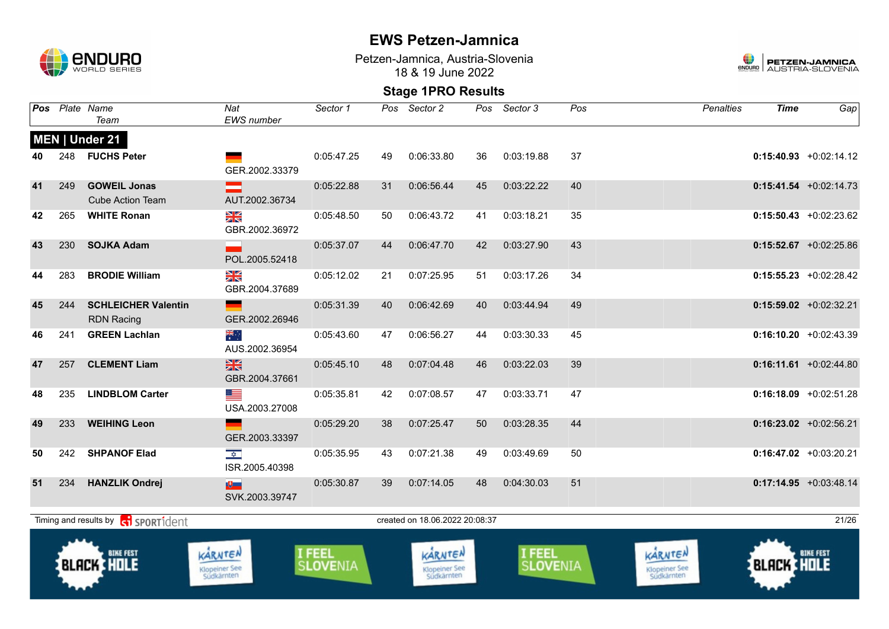

Petzen-Jamnica, Austria-Slovenia 18 & 19 June 2022



|    |     | Pos Plate Name<br>Team                          | Nat<br><b>EWS</b> number                     | Sector 1           |    | Pos Sector 2                           | Pos | Sector 3                    | Pos | <b>Penalties</b>                       | <b>Time</b>       | Gap                       |
|----|-----|-------------------------------------------------|----------------------------------------------|--------------------|----|----------------------------------------|-----|-----------------------------|-----|----------------------------------------|-------------------|---------------------------|
|    |     | MEN   Under 21                                  |                                              |                    |    |                                        |     |                             |     |                                        |                   |                           |
| 40 | 248 | <b>FUCHS Peter</b>                              | GER.2002.33379                               | 0:05:47.25         | 49 | 0:06:33.80                             | 36  | 0:03:19.88                  | 37  |                                        |                   | $0:15:40.93 + 0:02:14.12$ |
| 41 | 249 | <b>GOWEIL Jonas</b><br><b>Cube Action Team</b>  | ▀<br>AUT.2002.36734                          | 0:05:22.88         | 31 | 0:06:56.44                             | 45  | 0:03:22.22                  | 40  |                                        |                   | $0:15:41.54$ +0:02:14.73  |
| 42 | 265 | <b>WHITE Ronan</b>                              | ≥K<br>GBR.2002.36972                         | 0:05:48.50         | 50 | 0:06:43.72                             | 41  | 0:03:18.21                  | 35  |                                        |                   | $0:15:50.43$ +0:02:23.62  |
| 43 | 230 | <b>SOJKA Adam</b>                               | POL.2005.52418                               | 0:05:37.07         | 44 | 0:06:47.70                             | 42  | 0:03:27.90                  | 43  |                                        |                   | $0:15:52.67$ +0:02:25.86  |
| 44 | 283 | <b>BRODIE William</b>                           | XK<br>GBR.2004.37689                         | 0:05:12.02         | 21 | 0:07:25.95                             | 51  | 0:03:17.26                  | 34  |                                        |                   | $0:15:55.23$ +0:02:28.42  |
| 45 | 244 | <b>SCHLEICHER Valentin</b><br><b>RDN Racing</b> | $\mathcal{L}(\mathcal{A})$<br>GER.2002.26946 | 0:05:31.39         | 40 | 0:06:42.69                             | 40  | 0:03:44.94                  | 49  |                                        |                   | $0:15:59.02$ +0:02:32.21  |
| 46 | 241 | <b>GREEN Lachlan</b>                            | ॣैं<br>AUS.2002.36954                        | 0:05:43.60         | 47 | 0:06:56.27                             | 44  | 0:03:30.33                  | 45  |                                        |                   | $0:16:10.20 +0:02:43.39$  |
| 47 | 257 | <b>CLEMENT Liam</b>                             | 米<br>GBR.2004.37661                          | 0:05:45.10         | 48 | 0:07:04.48                             | 46  | 0:03:22.03                  | 39  |                                        |                   | $0:16:11.61$ +0:02:44.80  |
| 48 | 235 | <b>LINDBLOM Carter</b>                          | <u>est</u><br>USA.2003.27008                 | 0:05:35.81         | 42 | 0:07:08.57                             | 47  | 0:03:33.71                  | 47  |                                        |                   | $0:16:18.09 + 0:02:51.28$ |
| 49 | 233 | <b>WEIHING Leon</b>                             | GER.2003.33397                               | 0:05:29.20         | 38 | 0:07:25.47                             | 50  | 0:03:28.35                  | 44  |                                        |                   | $0:16:23.02$ +0:02:56.21  |
| 50 | 242 | <b>SHPANOF Elad</b>                             | $\frac{1}{\sqrt{2}}$<br>ISR.2005.40398       | 0:05:35.95         | 43 | 0:07:21.38                             | 49  | 0:03:49.69                  | 50  |                                        |                   | $0:16:47.02$ +0:03:20.21  |
| 51 | 234 | <b>HANZLIK Ondrej</b>                           | 更<br>SVK.2003.39747                          | 0:05:30.87         | 39 | 0:07:14.05                             | 48  | 0:04:30.03                  | 51  |                                        |                   | $0:17:14.95$ +0:03:48.14  |
|    |     | Timing and results by <b>ci</b> sportident      |                                              |                    |    | created on 18.06.2022 20:08:37         |     |                             |     |                                        |                   | 21/26                     |
|    |     | <b>BIKE FEST</b><br><b>BLACK &amp; HOLE</b>     | KARNTEN<br>Klopeiner See<br>Südkärnten       | I FEEL<br>SLOVENIA |    | KARNTEN<br>Klopeiner See<br>Südkärnten |     | I FEEL<br>S <b>LOVE</b> NIA |     | KARNTEN<br>Klopeiner See<br>Südkärnten | <b>BLACK HOLE</b> | <b>BIKE FEST</b>          |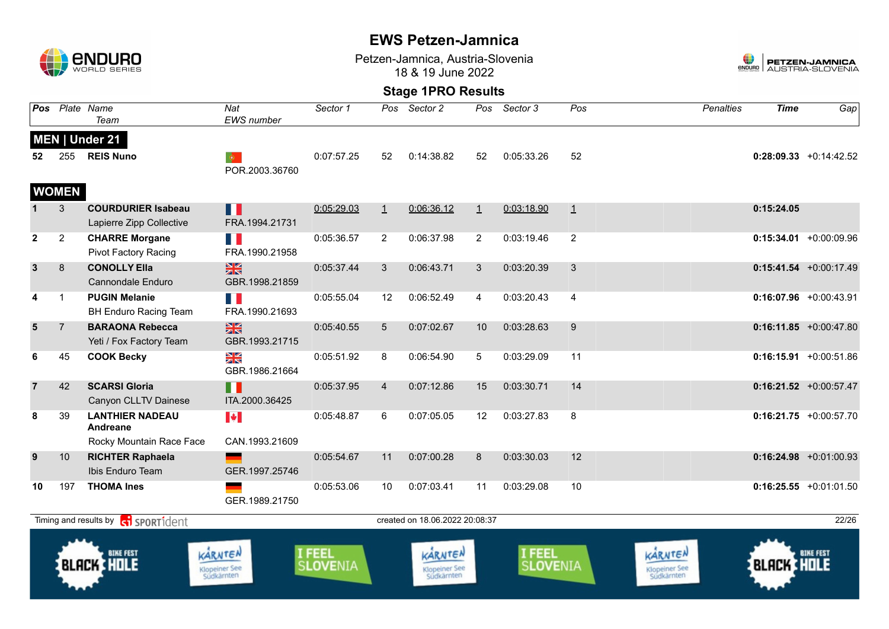

Petzen-Jamnica, Austria-Slovenia 18 & 19 June 2022



|                | Pos Plate Name      | Team                                                                    | Nat<br><b>EWS</b> number               | Sector 1                  | Pos             | Sector 2                               | Pos            | Sector 3           | Pos            | <b>Penalties</b>                       | <b>Time</b>       | Gap                       |
|----------------|---------------------|-------------------------------------------------------------------------|----------------------------------------|---------------------------|-----------------|----------------------------------------|----------------|--------------------|----------------|----------------------------------------|-------------------|---------------------------|
| 52             | 255<br><b>WOMEN</b> | MEN   Under 21<br><b>REIS Nuno</b>                                      | $\bullet$<br>POR.2003.36760            | 0:07:57.25                | 52              | 0:14:38.82                             | 52             | 0:05:33.26         | 52             |                                        |                   | $0:28:09.33 +0:14:42.52$  |
|                | 3                   | <b>COURDURIER Isabeau</b><br>Lapierre Zipp Collective                   | Ш<br>FRA.1994.21731                    | 0:05:29.03                | $\perp$         | 0:06:36.12                             | $\perp$        | 0:03:18.90         | $\overline{1}$ |                                        | 0:15:24.05        |                           |
| $\mathbf{2}$   | $\overline{2}$      | <b>CHARRE Morgane</b><br><b>Pivot Factory Racing</b>                    | n e<br>FRA.1990.21958                  | 0:05:36.57                | $\overline{2}$  | 0:06:37.98                             | $\overline{2}$ | 0:03:19.46         | $\overline{2}$ |                                        |                   | $0:15:34.01 + 0:00:09.96$ |
| $\mathbf{3}$   | 8                   | <b>CONOLLY Ella</b><br><b>Cannondale Enduro</b>                         | $\frac{N}{N}$<br>GBR.1998.21859        | 0:05:37.44                | 3               | 0:06:43.71                             | 3              | 0:03:20.39         | 3              |                                        |                   | $0:15:41.54$ +0:00:17.49  |
| 4              | $\mathbf{1}$        | <b>PUGIN Melanie</b><br><b>BH Enduro Racing Team</b>                    | <b>TIME</b><br>FRA.1990.21693          | 0:05:55.04                | 12              | 0:06:52.49                             | $\overline{4}$ | 0:03:20.43         | $\overline{4}$ |                                        |                   | $0:16:07.96$ +0:00:43.91  |
| $5\phantom{1}$ | $\overline{7}$      | <b>BARAONA Rebecca</b><br>Yeti / Fox Factory Team                       | $\frac{N}{N}$<br>GBR.1993.21715        | 0:05:40.55                | $5\overline{)}$ | 0:07:02.67                             | 10             | 0:03:28.63         | 9              |                                        |                   | $0:16:11.85$ +0:00:47.80  |
| 6              | 45                  | <b>COOK Becky</b>                                                       | ≱≼<br>GBR.1986.21664                   | 0:05:51.92                | 8               | 0:06:54.90                             | 5              | 0:03:29.09         | 11             |                                        |                   | $0:16:15.91 + 0:00:51.86$ |
| $\overline{7}$ | 42                  | <b>SCARSI Gloria</b><br>Canyon CLLTV Dainese                            | П<br>ITA.2000.36425                    | 0:05:37.95                | $\overline{4}$  | 0:07:12.86                             | 15             | 0:03:30.71         | 14             |                                        |                   | $0:16:21.52$ +0:00:57.47  |
| 8              | 39                  | <b>LANTHIER NADEAU</b><br>Andreane                                      | $\left\  \cdot \right\ $               | 0:05:48.87                | 6               | 0:07:05.05                             | 12             | 0:03:27.83         | 8              |                                        |                   | $0:16:21.75$ +0:00:57.70  |
| 9              | 10                  | Rocky Mountain Race Face<br><b>RICHTER Raphaela</b><br>Ibis Enduro Team | CAN.1993.21609<br>GER.1997.25746       | 0:05:54.67                | 11              | 0:07:00.28                             | 8              | 0:03:30.03         | 12             |                                        |                   | $0:16:24.98$ +0:01:00.93  |
| 10             | 197                 | <b>THOMA Ines</b>                                                       | GER.1989.21750                         | 0:05:53.06                | 10              | 0:07:03.41                             | 11             | 0:03:29.08         | 10             |                                        |                   | $0:16:25.55$ +0:01:01.50  |
|                |                     | Timing and results by <b>ci</b> SPORT1dent                              |                                        |                           |                 | created on 18.06.2022 20:08:37         |                |                    |                |                                        |                   | 22/26                     |
|                |                     | <b>BIKE FEST</b><br><b>BLACK HILE</b>                                   | KARNTEN<br>Klopeiner See<br>Südkärnten | I FEEL<br><b>SLOVENIA</b> |                 | KARNTEN<br>Klopeiner See<br>Südkärnten |                | I FEEL<br>SLOVENIA |                | KARNTEN<br>Klopeiner See<br>Südkärnten | <b>BLACK HOLE</b> | <b>BIKE FEST</b>          |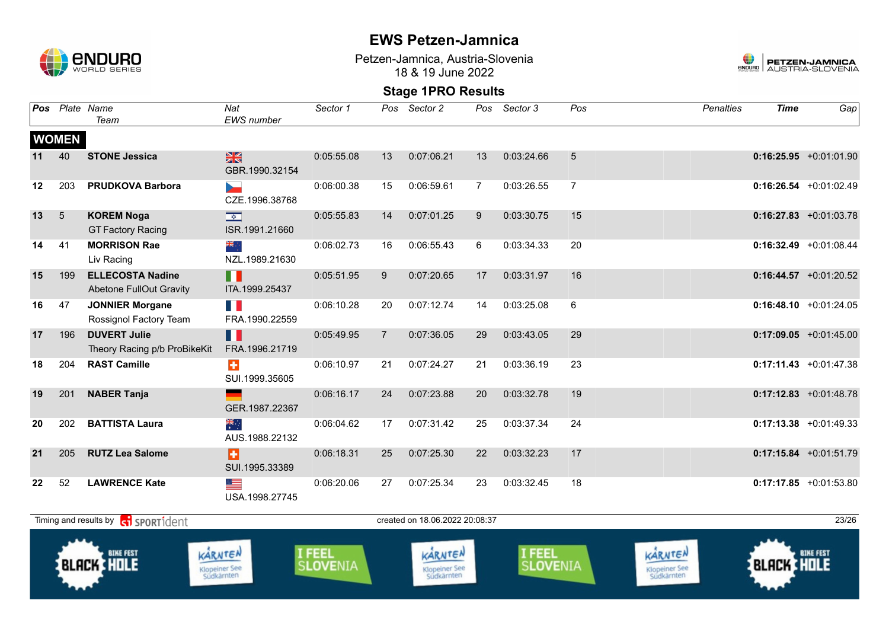

Petzen-Jamnica, Austria-Slovenia 18 & 19 June 2022



| Pos |              | Plate Name<br>Team                                           | Nat<br>EWS number                          | Sector 1                  | Pos            | Sector 2                               | Pos            | Sector 3           | Pos            | <b>Penalties</b>                       | <b>Time</b>       | Gap                       |
|-----|--------------|--------------------------------------------------------------|--------------------------------------------|---------------------------|----------------|----------------------------------------|----------------|--------------------|----------------|----------------------------------------|-------------------|---------------------------|
|     | <b>WOMEN</b> |                                                              |                                            |                           |                |                                        |                |                    |                |                                        |                   |                           |
| 11  | 40           | <b>STONE Jessica</b>                                         | $\frac{N}{N}$<br>GBR.1990.32154            | 0:05:55.08                | 13             | 0:07:06.21                             | 13             | 0:03:24.66         | 5              |                                        |                   | $0:16:25.95$ +0:01:01.90  |
| 12  | 203          | <b>PRUDKOVA Barbora</b>                                      | $\overline{\phantom{a}}$<br>CZE.1996.38768 | 0:06:00.38                | 15             | 0:06:59.61                             | $\overline{7}$ | 0:03:26.55         | $\overline{7}$ |                                        |                   | $0:16:26.54$ +0:01:02.49  |
| 13  | 5            | <b>KOREM Noga</b><br><b>GT Factory Racing</b>                | $\frac{1}{\sqrt{2}}$<br>ISR.1991.21660     | 0:05:55.83                | 14             | 0:07:01.25                             | 9              | 0:03:30.75         | 15             |                                        |                   | $0:16:27.83$ +0:01:03.78  |
| 14  | 41           | <b>MORRISON Rae</b><br>Liv Racing                            | ⊹, <mark>≫</mark><br>NZL.1989.21630        | 0:06:02.73                | 16             | 0:06:55.43                             | 6              | 0:03:34.33         | 20             |                                        |                   | $0:16:32.49$ +0:01:08.44  |
| 15  | 199          | <b>ELLECOSTA Nadine</b><br><b>Abetone FullOut Gravity</b>    | Ш<br>ITA.1999.25437                        | 0:05:51.95                | 9              | 0:07:20.65                             | 17             | 0:03:31.97         | 16             |                                        |                   | $0:16:44.57$ +0:01:20.52  |
| 16  | 47           | <b>JONNIER Morgane</b><br>Rossignol Factory Team             | T B<br>FRA.1990.22559                      | 0:06:10.28                | 20             | 0:07:12.74                             | 14             | 0:03:25.08         | 6              |                                        |                   | $0:16:48.10 + 0:01:24.05$ |
| 17  | 196          | <b>DUVERT Julie</b><br>Theory Racing p/b ProBikeKit          | Ш<br>FRA.1996.21719                        | 0:05:49.95                | $\overline{7}$ | 0:07:36.05                             | 29             | 0:03:43.05         | 29             |                                        |                   | $0:17:09.05$ +0:01:45.00  |
| 18  | 204          | <b>RAST Camille</b>                                          | $\ddot{}$<br>SUI.1999.35605                | 0:06:10.97                | 21             | 0:07:24.27                             | 21             | 0:03:36.19         | 23             |                                        |                   | $0:17:11.43 +0:01:47.38$  |
| 19  | 201          | <b>NABER Tanja</b>                                           | GER.1987.22367                             | 0:06:16.17                | 24             | 0:07:23.88                             | 20             | 0:03:32.78         | 19             |                                        |                   | $0:17:12.83$ +0:01:48.78  |
| 20  | 202          | <b>BATTISTA Laura</b>                                        | ्हें<br>AUS.1988.22132                     | 0:06:04.62                | 17             | 0:07:31.42                             | 25             | 0:03:37.34         | 24             |                                        |                   | $0:17:13.38$ +0:01:49.33  |
| 21  | 205          | <b>RUTZ Lea Salome</b>                                       | B<br>SUI.1995.33389                        | 0:06:18.31                | 25             | 0:07:25.30                             | 22             | 0:03:32.23         | 17             |                                        |                   | $0:17:15.84$ +0:01:51.79  |
| 22  | 52           | <b>LAWRENCE Kate</b>                                         | ▀<br>USA.1998.27745                        | 0:06:20.06                | 27             | 0:07:25.34                             | 23             | 0:03:32.45         | 18             |                                        |                   | $0:17:17.85$ +0:01:53.80  |
|     |              | Timing and results by $\left[\frac{1}{2}\right]$ SPORT1 dent |                                            |                           |                | created on 18.06.2022 20:08:37         |                |                    |                |                                        |                   | 23/26                     |
|     |              | <b>BIKE FEST</b><br><b>BLACK HOLE</b>                        | KARNTEN<br>Klopeiner See<br>Südkärnten     | I FEEL<br><b>SLOVENIA</b> |                | KARNTEN<br>Klopeiner See<br>Südkärnten |                | I FEEL<br>SLOVENIA |                | KARNTEN<br>Klopeiner See<br>Südkärnten | <b>BLACK HOLE</b> | <b>BIKE FEST</b>          |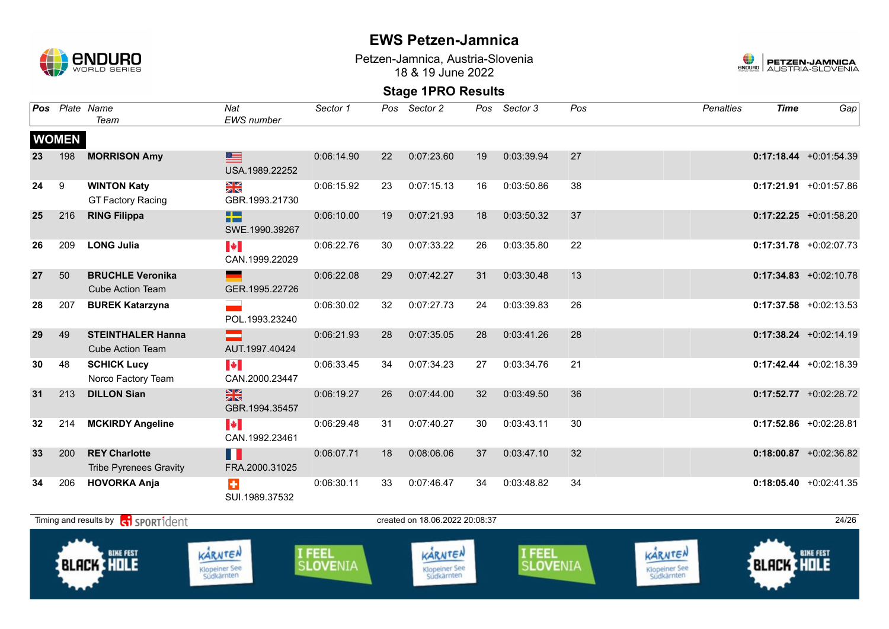

Petzen-Jamnica, Austria-Slovenia 18 & 19 June 2022



|    | Pos Plate Name | Team                                                  | Nat<br>EWS number                                       | Sector 1                  | Pos                            | Sector 2                               | Pos | Sector 3                  | Pos | <b>Penalties</b>                       | <b>Time</b>       | Gap                       |
|----|----------------|-------------------------------------------------------|---------------------------------------------------------|---------------------------|--------------------------------|----------------------------------------|-----|---------------------------|-----|----------------------------------------|-------------------|---------------------------|
|    | <b>WOMEN</b>   |                                                       |                                                         |                           |                                |                                        |     |                           |     |                                        |                   |                           |
| 23 | 198            | <b>MORRISON Amy</b>                                   | ▆<br>USA.1989.22252                                     | 0:06:14.90                | 22                             | 0:07:23.60                             | 19  | 0:03:39.94                | 27  |                                        |                   | $0:17:18.44 + 0:01:54.39$ |
| 24 | 9              | <b>WINTON Katy</b><br><b>GT Factory Racing</b>        | $\frac{\sum x}{\sum x}$<br>GBR.1993.21730               | 0:06:15.92                | 23                             | 0:07:15.13                             | 16  | 0:03:50.86                | 38  |                                        |                   | $0:17:21.91$ +0:01:57.86  |
| 25 | 216            | <b>RING Filippa</b>                                   | 22<br>SWE.1990.39267                                    | 0:06:10.00                | 19                             | 0:07:21.93                             | 18  | 0:03:50.32                | 37  |                                        |                   | $0:17:22.25$ +0:01:58.20  |
| 26 | 209            | <b>LONG Julia</b>                                     | $\blacktriangleright$<br>CAN.1999.22029                 | 0:06:22.76                | 30                             | 0:07:33.22                             | 26  | 0:03:35.80                | 22  |                                        |                   | $0:17:31.78$ +0:02:07.73  |
| 27 | 50             | <b>BRUCHLE Veronika</b><br><b>Cube Action Team</b>    | GER.1995.22726                                          | 0:06:22.08                | 29                             | 0:07:42.27                             | 31  | 0:03:30.48                | 13  |                                        |                   | $0:17:34.83$ +0:02:10.78  |
| 28 | 207            | <b>BUREK Katarzyna</b>                                | POL.1993.23240                                          | 0:06:30.02                | 32                             | 0:07:27.73                             | 24  | 0:03:39.83                | 26  |                                        |                   | $0:17:37.58$ +0:02:13.53  |
| 29 | 49             | <b>STEINTHALER Hanna</b><br><b>Cube Action Team</b>   | AUT.1997.40424                                          | 0:06:21.93                | 28                             | 0:07:35.05                             | 28  | 0:03:41.26                | 28  |                                        |                   | $0:17:38.24 +0:02:14.19$  |
| 30 | 48             | <b>SCHICK Lucy</b><br>Norco Factory Team              | $\left\  \boldsymbol{\cdot} \right\ $<br>CAN.2000.23447 | 0:06:33.45                | 34                             | 0:07:34.23                             | 27  | 0:03:34.76                | 21  |                                        |                   | $0:17:42.44 + 0:02:18.39$ |
| 31 | 213            | <b>DILLON Sian</b>                                    | $\frac{N}{N}$<br>GBR.1994.35457                         | 0:06:19.27                | 26                             | 0:07:44.00                             | 32  | 0:03:49.50                | 36  |                                        |                   | $0:17:52.77$ +0:02:28.72  |
| 32 | 214            | <b>MCKIRDY Angeline</b>                               | $\left\  \cdot \right\ $<br>CAN.1992.23461              | 0:06:29.48                | 31                             | 0:07:40.27                             | 30  | 0:03:43.11                | 30  |                                        |                   | $0:17:52.86$ +0:02:28.81  |
| 33 | 200            | <b>REY Charlotte</b><br><b>Tribe Pyrenees Gravity</b> | H<br>FRA.2000.31025                                     | 0:06:07.71                | 18                             | 0:08:06.06                             | 37  | 0:03:47.10                | 32  |                                        |                   | $0:18:00.87$ +0:02:36.82  |
| 34 | 206            | <b>HOVORKA Anja</b>                                   | $\ddot{}$<br>SUI.1989.37532                             | 0:06:30.11                | 33                             | 0:07:46.47                             | 34  | 0:03:48.82                | 34  |                                        |                   | $0:18:05.40 +0:02:41.35$  |
|    |                | Timing and results by <b>contains and results</b>     |                                                         |                           | created on 18.06.2022 20:08:37 |                                        |     |                           |     |                                        | 24/26             |                           |
|    |                | <b>BIKE FEST</b><br><b>BLACK HOLE</b>                 | KARNTEN<br>Klopeiner See<br>Südkärnten                  | I FEEL<br><b>SLOVENIA</b> |                                | KARNTEN<br>Klopeiner See<br>Südkärnten |     | I FEEL<br><b>SLOVENIA</b> |     | KARNTEN<br>Klopeiner See<br>Südkärnten | <b>BLACK HOLE</b> | <b>BIKE FEST</b>          |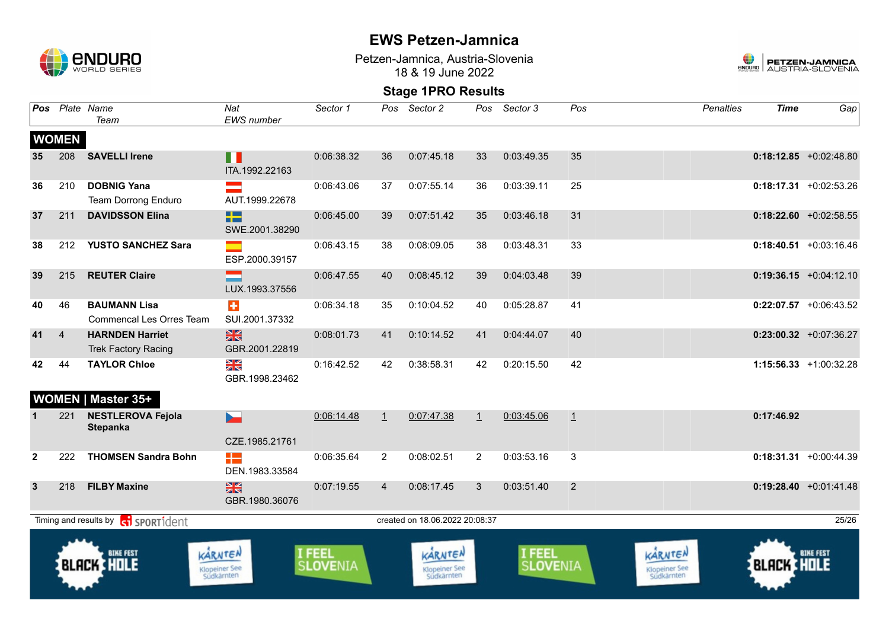

Petzen-Jamnica, Austria-Slovenia 18 & 19 June 2022



|                                                                                     |                | Pos Plate Name<br>Team                                 | Nat<br>EWS number                             | Sector 1                  |                | Pos Sector 2                                  |              | Pos Sector 3              | Pos            | <b>Penalties</b>                       | <b>Time</b>       | Gap                       |
|-------------------------------------------------------------------------------------|----------------|--------------------------------------------------------|-----------------------------------------------|---------------------------|----------------|-----------------------------------------------|--------------|---------------------------|----------------|----------------------------------------|-------------------|---------------------------|
|                                                                                     | <b>WOMEN</b>   |                                                        |                                               |                           |                |                                               |              |                           |                |                                        |                   |                           |
| 35                                                                                  | 208            | <b>SAVELLI Irene</b>                                   | n n<br>ITA.1992.22163                         | 0:06:38.32                | 36             | 0:07:45.18                                    | 33           | 0:03:49.35                | 35             |                                        |                   | $0:18:12.85 + 0:02:48.80$ |
| 36                                                                                  | 210            | <b>DOBNIG Yana</b><br>Team Dorrong Enduro              | AUT.1999.22678                                | 0:06:43.06                | 37             | 0:07:55.14                                    | 36           | 0:03:39.11                | 25             |                                        |                   | $0:18:17.31$ +0:02:53.26  |
| 37                                                                                  | 211            | <b>DAVIDSSON Elina</b>                                 | 22<br>SWE.2001.38290                          | 0:06:45.00                | 39             | 0:07:51.42                                    | 35           | 0:03:46.18                | 31             |                                        |                   | $0:18:22.60 + 0:02:58.55$ |
| 38                                                                                  |                | 212 YUSTO SANCHEZ Sara                                 | ESP.2000.39157                                | 0:06:43.15                | 38             | 0:08:09.05                                    | 38           | 0:03:48.31                | 33             |                                        |                   | $0:18:40.51 + 0:03:16.46$ |
| 39                                                                                  | 215            | <b>REUTER Claire</b>                                   | LUX.1993.37556                                | 0:06:47.55                | 40             | 0:08:45.12                                    | 39           | 0:04:03.48                | 39             |                                        |                   | $0:19:36.15 + 0:04:12.10$ |
| 40                                                                                  | 46             | <b>BAUMANN Lisa</b><br><b>Commencal Les Orres Team</b> | $\ddot{\textbf{r}}$<br>SUI.2001.37332         | 0:06:34.18                | 35             | 0:10:04.52                                    | 40           | 0:05:28.87                | 41             |                                        |                   | $0:22:07.57$ +0:06:43.52  |
| 41                                                                                  | $\overline{4}$ | <b>HARNDEN Harriet</b><br><b>Trek Factory Racing</b>   | $\frac{N}{N}$<br>GBR.2001.22819               | 0:08:01.73                | 41             | 0:10:14.52                                    | 41           | 0:04:44.07                | 40             |                                        |                   | $0:23:00.32$ +0:07:36.27  |
| 42                                                                                  | 44             | <b>TAYLOR Chloe</b><br><b>WOMEN   Master 35+</b>       | XK<br>GBR.1998.23462                          | 0:16:42.52                | 42             | 0:38:58.31                                    | 42           | 0:20:15.50                | 42             |                                        |                   | $1:15:56.33 + 1:00:32.28$ |
| $\mathbf 1$                                                                         | 221            | <b>NESTLEROVA Fejola</b><br><b>Stepanka</b>            | $\blacksquare$<br>CZE.1985.21761              | 0:06:14.48                | $\mathbf{1}$   | 0:07:47.38                                    | $\mathbf{1}$ | 0:03:45.06                | $\perp$        |                                        | 0:17:46.92        |                           |
| $\mathbf{2}$                                                                        | 222            | <b>THOMSEN Sandra Bohn</b>                             | 22<br>DEN.1983.33584                          | 0:06:35.64                | 2              | 0:08:02.51                                    | 2            | 0:03:53.16                | 3              |                                        |                   | $0:18:31.31 + 0:00:44.39$ |
| $\mathbf{3}$                                                                        | 218            | <b>FILBY Maxine</b>                                    | $\frac{N}{N}$<br>GBR.1980.36076               | 0:07:19.55                | $\overline{4}$ | 0:08:17.45                                    | 3            | 0:03:51.40                | $\overline{2}$ |                                        |                   | $0:19:28.40 +0:01:41.48$  |
| Timing and results by <b>contract</b> sport ident<br>created on 18.06.2022 20:08:37 |                |                                                        |                                               |                           |                |                                               |              |                           | 25/26          |                                        |                   |                           |
|                                                                                     |                | <b>BIKE FEST</b><br><b>BLACK HOLE</b>                  | KARNTEN<br><b>Klopeiner See</b><br>Südkärnten | I FEEL<br><b>SLOVENIA</b> |                | KARNTEN<br><b>Klopeiner See</b><br>Südkärnten |              | I FEEL<br><b>SLOVENIA</b> |                | KARNTEN<br>Klopeiner See<br>Südkärnten | <b>BLACK HOLE</b> | <b>BIKE FEST</b>          |